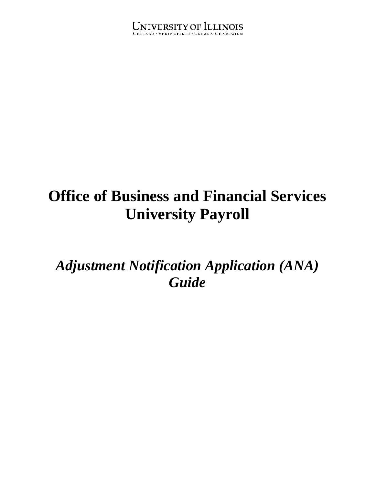## UNIVERSITY OF ILLINOIS

# **Office of Business and Financial Services University Payroll**

*Adjustment Notification Application (ANA) Guide*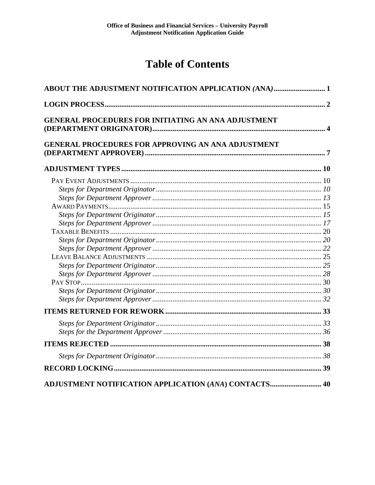## **Table of Contents**

| <b>ABOUT THE ADJUSTMENT NOTIFICATION APPLICATION (ANA) 1</b> |  |
|--------------------------------------------------------------|--|
|                                                              |  |
| <b>GENERAL PROCEDURES FOR INITIATING AN ANA ADJUSTMENT</b>   |  |
| <b>GENERAL PROCEDURES FOR APPROVING AN ANA ADJUSTMENT</b>    |  |
|                                                              |  |
|                                                              |  |
|                                                              |  |
|                                                              |  |
|                                                              |  |
|                                                              |  |
|                                                              |  |
|                                                              |  |
|                                                              |  |
|                                                              |  |
|                                                              |  |
|                                                              |  |
|                                                              |  |
|                                                              |  |
|                                                              |  |
|                                                              |  |
|                                                              |  |
|                                                              |  |
|                                                              |  |
|                                                              |  |
|                                                              |  |
|                                                              |  |
| ADJUSTMENT NOTIFICATION APPLICATION (ANA) CONTACTS 40        |  |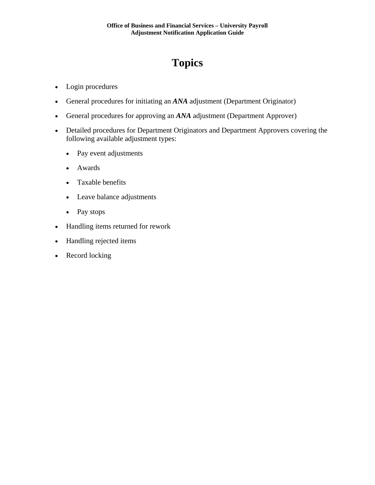## **Topics**

- Login procedures
- General procedures for initiating an *ANA* adjustment (Department Originator)
- General procedures for approving an *ANA* adjustment (Department Approver)
- Detailed procedures for Department Originators and Department Approvers covering the following available adjustment types:
	- Pay event adjustments
	- Awards
	- Taxable benefits
	- Leave balance adjustments
	- Pay stops
- Handling items returned for rework
- Handling rejected items
- Record locking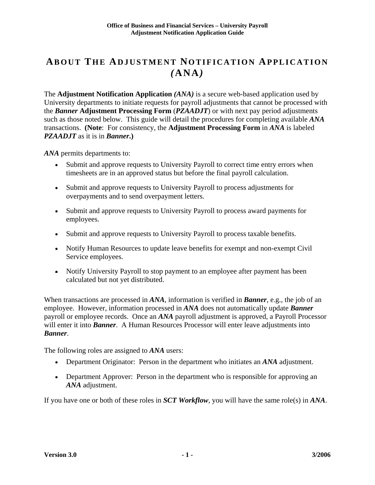## **ABOUT THE ADJUSTMENT NOTIFICATION APPLICATION** *(***ANA***)*

The **Adjustment Notification Application** *(ANA)* is a secure web-based application used by University departments to initiate requests for payroll adjustments that cannot be processed with the *Banner* **Adjustment Processing Form** (*PZAADJT*) or with next pay period adjustments such as those noted below. This guide will detail the procedures for completing available *ANA* transactions. **(Note**: For consistency, the **Adjustment Processing Form** in *ANA* is labeled *PZAADJT* as it is in *Banner***.)**

*ANA* permits departments to:

- Submit and approve requests to University Payroll to correct time entry errors when timesheets are in an approved status but before the final payroll calculation.
- Submit and approve requests to University Payroll to process adjustments for overpayments and to send overpayment letters.
- Submit and approve requests to University Payroll to process award payments for employees.
- Submit and approve requests to University Payroll to process taxable benefits.
- Notify Human Resources to update leave benefits for exempt and non-exempt Civil Service employees.
- Notify University Payroll to stop payment to an employee after payment has been calculated but not yet distributed.

When transactions are processed in *ANA*, information is verified in *Banner*, e.g., the job of an employee. However, information processed in *ANA* does not automatically update *Banner*  payroll or employee records. Once an *ANA* payroll adjustment is approved, a Payroll Processor will enter it into **Banner**. A Human Resources Processor will enter leave adjustments into *Banner*.

The following roles are assigned to *ANA* users:

- Department Originator: Person in the department who initiates an *ANA* adjustment.
- Department Approver: Person in the department who is responsible for approving an *ANA* adjustment.

If you have one or both of these roles in *SCT Workflow*, you will have the same role(s) in *ANA*.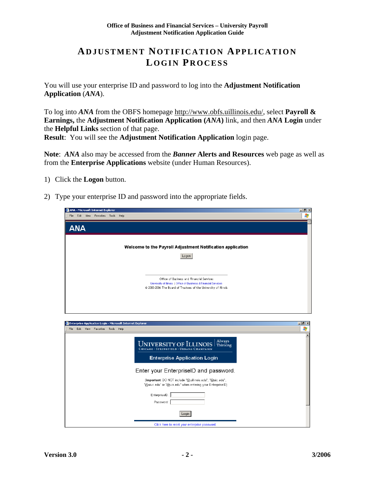### **ADJUSTMENT NOTIFICATION APPLICATION LOGIN P ROCESS**

You will use your enterprise ID and password to log into the **Adjustment Notification Application** (*ANA*).

To log into *ANA* from the OBFS homepage http://www.obfs.uillinois.edu/, select **Payroll & Earnings,** the **Adjustment Notification Application (***ANA***)** link, and then *ANA* **Login** under the **Helpful Links** section of that page. **Result**: You will see the **Adjustment Notification Application** login page.

**Note**: *ANA* also may be accessed from the *Banner* **Alerts and Resources** web page as well as from the **Enterprise Applications** website (under Human Resources).

- 1) Click the **Logon** button.
- 2) Type your enterprise ID and password into the appropriate fields.

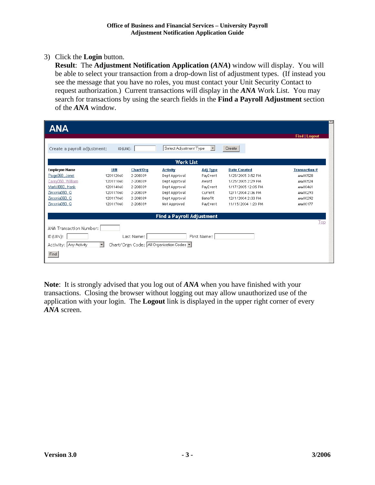#### 3) Click the **Login** button.

**Result**: The **Adjustment Notification Application (***ANA***)** window will display. You will be able to select your transaction from a drop-down list of adjustment types. (If instead you see the message that you have no roles, you must contact your Unit Security Contact to request authorization.) Current transactions will display in the *ANA* Work List. You may search for transactions by using the search fields in the **Find a Payroll Adjustment** section of the *ANA* window.

| <b>ANA</b>                   |                |            |                                         |                      |                     |                      |
|------------------------------|----------------|------------|-----------------------------------------|----------------------|---------------------|----------------------|
|                              |                |            |                                         |                      |                     | <b>Find   Logout</b> |
| Create a payroll adjustment: | $ID$ $(UIN)$ : |            | Select Adjustment Type                  | $\blacktriangledown$ | Create              |                      |
|                              |                |            | <b>Work List</b>                        |                      |                     |                      |
| <b>Employee Name</b>         | UIN            | Chart/Org  | <b>Activity</b>                         | <b>Adj Type</b>      | <b>Date Created</b> | <b>Transaction #</b> |
| Paige060, Janet              | 120112060      | 2-208039   | Dept Approval                           | PayEvent             | 1/25/2005 3:52 PM   | ANA00528             |
| Carey060, William            | 120111060      | 2-208039   | Dept Approval                           | Award                | 1/25/2005 2:29 PM   | ANA00524             |
| MarkillO60, Hank             | 120114060      | 2-208039   | Dept Approval                           | PayEvent             | 1/17/2005 12:05 PM  | ANA00461             |
| Zirconia060, Q               | 120117060      | 2-208039   | Dept Approval                           | Current              | 12/1/2004 2:36 PM   | ANA00293             |
| Zirconia060, Q               | 120117060      | 2-208039   | Dept Approval                           | Benefit              | 12/1/2004 2:33 PM   | ANA00292             |
| Zirconia060, Q               | 120117060      | 2-208039   | Not Approved                            | PayEvent             | 11/15/2004 1:20 PM  | ANA00177             |
|                              |                |            | <b>Find a Payroll Adjustment</b>        |                      |                     |                      |
|                              |                |            |                                         |                      |                     | Top                  |
| ANA Transaction Number:      |                |            |                                         |                      |                     |                      |
| $ID$ (UIN):                  |                | Last Name: |                                         | First Name:          |                     |                      |
| Activity: Any Activity       | $\blacksquare$ |            | Chart/Orgn Code: All Organization Codes |                      |                     |                      |
| Find                         |                |            |                                         |                      |                     |                      |

**Note**: It is strongly advised that you log out of *ANA* when you have finished with your transactions. Closing the browser without logging out may allow unauthorized use of the application with your login. The **Logout** link is displayed in the upper right corner of every *ANA* screen.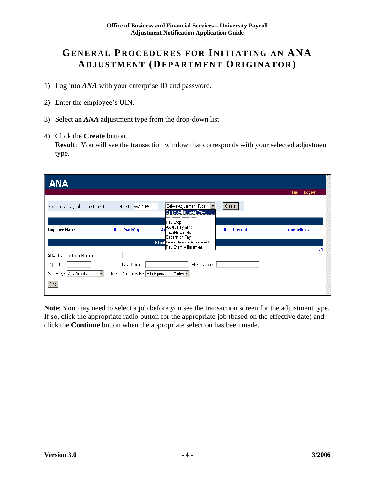## **GENERAL PROCEDURES FOR INITIATING AN ANA ADJUSTMENT (DEPARTMENT ORIGINATOR )**

- 1) Log into *ANA* with your enterprise ID and password.
- 2) Enter the employee's UIN.
- 3) Select an *ANA* adjustment type from the drop-down list.
- 4) Click the **Create** button.

**Result**: You will see the transaction window that corresponds with your selected adjustment type.

| <b>ANA</b>                        |                                         |                                                                                  |                     |                      |
|-----------------------------------|-----------------------------------------|----------------------------------------------------------------------------------|---------------------|----------------------|
|                                   |                                         |                                                                                  |                     | <b>Find   Logout</b> |
| Create a payroll adjustment:      | ID(UIN): 667013971                      | Select Adjustment Type<br>Select Adjustment Type                                 | Create              |                      |
| <b>Employee Name</b>              | Chart/Org<br>UIN                        | <br>Pay Stop<br>Ad <sup>Award</sup> Payment<br>Taxable Benefit<br>Separation Pay | <b>Date Created</b> | <b>Transaction #</b> |
|                                   |                                         | Find Leave Balance Adjustment<br>Pay Event Adjustment                            |                     |                      |
| ANA Transaction Number:           |                                         |                                                                                  |                     | Top                  |
| ID(UIN):                          | Last Name:                              | First Name:                                                                      |                     |                      |
| Activity: Any Activity<br>$\vert$ | Chart/Orgn Code: All Organization Codes |                                                                                  |                     |                      |
| Find                              |                                         |                                                                                  |                     |                      |
|                                   |                                         |                                                                                  |                     |                      |

**Note**: You may need to select a job before you see the transaction screen for the adjustment type. If so, click the appropriate radio button for the appropriate job (based on the effective date) and click the **Continue** button when the appropriate selection has been made.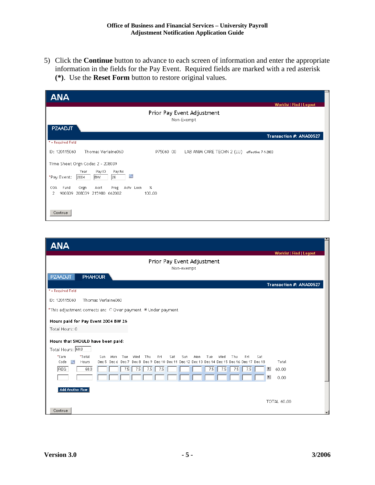5) Click the **Continue** button to advance to each screen of information and enter the appropriate information in the fields for the Pay Event. Required fields are marked with a red asterisk **(\*)**. Use the **Reset Form** button to restore original values.

| <b>ANA</b>                                                                                             |
|--------------------------------------------------------------------------------------------------------|
| Worklist   Find   Logout                                                                               |
| Prior Pay Event Adjustment<br>Non-Exempt                                                               |
| <b>PZAADJT</b>                                                                                         |
| Transaction #: ANA00527                                                                                |
| * = Required Field                                                                                     |
| Thomas Verlaine060<br>ID: 120115060<br>P75060 00<br>LAB ANIM CARE TECHN 2 (LU)<br>effective 7-1-2003   |
| Time Sheet Orgn Code: 2 - 208039                                                                       |
| Pay No<br>Year<br>Pay ID<br>F.<br>26<br><b>BW</b><br>*Pay Event:<br>2004                               |
| Orgn<br>Prog<br>Acty Locn<br>$\%$<br>COA<br>Fund<br>Acct<br>900309 208039 215980 662002<br>100.00<br>2 |
| Continue                                                                                               |

| <b>ANA</b><br><b>Worklist   Find   Logout</b>                                                                                                                                                                                                        |
|------------------------------------------------------------------------------------------------------------------------------------------------------------------------------------------------------------------------------------------------------|
| Prior Pay Event Adjustment<br>Non-exempt                                                                                                                                                                                                             |
| <b>PHAHOUR</b><br><b>PZAADJT</b>                                                                                                                                                                                                                     |
| Transaction #: ANA00527<br>* = Required Field                                                                                                                                                                                                        |
| ID: 120115060<br>Thomas Verlaine060                                                                                                                                                                                                                  |
| *This adjustment corrects an: O Over payment © Under payment                                                                                                                                                                                         |
| Hours paid for Pay Event 2004 BW 26                                                                                                                                                                                                                  |
| Total Hours: 0                                                                                                                                                                                                                                       |
| Hours that SHOULD have been paid:                                                                                                                                                                                                                    |
| Total Hours: 60.0                                                                                                                                                                                                                                    |
| *Earn<br>Thu<br>*Total<br>Mon.<br>Med<br>Thu<br>Fri<br>Sat<br>Sun<br>Mon<br>Med<br>Fri<br>Sat<br>Sun.<br>Tue<br>Tue.<br>Total<br>Dec 5 Dec 6 Dec 7 Dec 8 Dec 9 Dec 10 Dec 11 Dec 12 Dec 13 Dec 14 Dec 15 Dec 16 Dec 17 Dec 18<br>Code<br>e.<br>Hours |
| $\mathcal{T}_+$<br><b>REG</b><br>60.0<br>7.5<br>7.5<br>7.5<br>7.5<br>60.00<br>7.5<br>7.5<br>7.5<br>7.5                                                                                                                                               |
| $\overline{\mathbf{L}}$<br>0.00                                                                                                                                                                                                                      |
| <b>Add Another Row</b>                                                                                                                                                                                                                               |
| TOTAL 60.00                                                                                                                                                                                                                                          |
| Continue                                                                                                                                                                                                                                             |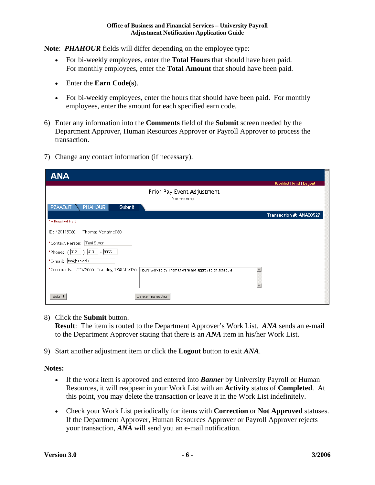**Note**: *PHAHOUR* fields will differ depending on the employee type:

- For bi-weekly employees, enter the **Total Hours** that should have been paid. For monthly employees, enter the **Total Amount** that should have been paid.
- Enter the **Earn Code(s**).
- For bi-weekly employees, enter the hours that should have been paid. For monthly employees, enter the amount for each specified earn code.
- 6) Enter any information into the **Comments** field of the **Submit** screen needed by the Department Approver, Human Resources Approver or Payroll Approver to process the transaction.
- 7) Change any contact information (if necessary).

| <b>ANA</b>                                                                                        | <b>Worklist   Find   Logout</b> |
|---------------------------------------------------------------------------------------------------|---------------------------------|
| Prior Pay Event Adjustment<br>Non-exempt                                                          |                                 |
| <b>PZAADJT</b><br><b>PHAHOUR</b><br>Submit                                                        |                                 |
| * = Required Field                                                                                | Transaction #: ANA00527         |
| Thomas Verlaine060<br>ID: 120115060                                                               |                                 |
| *Contact Person: Terri Sutton                                                                     |                                 |
| *Phone: (312   ) 413   - 9966                                                                     |                                 |
| *E-mail:  tss@uic.edu                                                                             |                                 |
| *Comments: 1/25/2005 Training TRAINING30<br>Hours worked by Thomas were not approved on schedule. |                                 |
| Delete Transaction<br>Submit                                                                      |                                 |

8) Click the **Submit** button.

**Result**: The item is routed to the Department Approver's Work List. *ANA* sends an e-mail to the Department Approver stating that there is an *ANA* item in his/her Work List.

9) Start another adjustment item or click the **Logout** button to exit *ANA*.

#### **Notes:**

- If the work item is approved and entered into *Banner* by University Payroll or Human Resources, it will reappear in your Work List with an **Activity** status of **Completed**. At this point, you may delete the transaction or leave it in the Work List indefinitely.
- Check your Work List periodically for items with **Correction** or **Not Approved** statuses. If the Department Approver, Human Resources Approver or Payroll Approver rejects your transaction, *ANA* will send you an e-mail notification.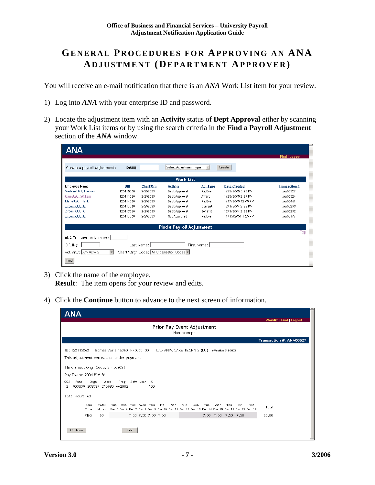## **GENERAL PROCEDURES FOR APPROVING AN ANA ADJUSTMENT (DEPARTMENT APPROVER)**

You will receive an e-mail notification that there is an *ANA* Work List item for your review.

- 1) Log into *ANA* with your enterprise ID and password.
- 2) Locate the adjustment item with an **Activity** status of **Dept Approval** either by scanning your Work List items or by using the search criteria in the **Find a Payroll Adjustment** section of the *ANA* window.

| <b>ANA</b>                                     |                |            |                                         |                     |                     |                      |
|------------------------------------------------|----------------|------------|-----------------------------------------|---------------------|---------------------|----------------------|
|                                                |                |            |                                         |                     |                     | <b>Find   Logout</b> |
| Create a payroll adjustment:                   | $ID$ $[UIN]$ : |            | Select Adjustment Type                  | $\vert \cdot \vert$ | Create              |                      |
|                                                |                |            |                                         |                     |                     |                      |
|                                                |                |            | <b>Work List</b>                        |                     |                     |                      |
| <b>Employee Name</b>                           | UIN            | Chart/Org  | <b>Activity</b>                         | <b>Adj Type</b>     | <b>Date Created</b> | <b>Transaction #</b> |
| Verlaine060, Thomas                            | 120115060      | 2-208039   | Dept Approval                           | PayEvent            | 1/25/2005 3:26 PM   | ANA00527             |
| Carey060, William                              | 120111060      | 2-208039   | Dept Approval                           | Award               | 1/25/2005 2:29 PM   | ANA00524             |
| Markill060, Hank                               | 120114060      | 2-208039   | Dept Approval                           | PayEvent            | 1/17/2005 12:05 PM  | ANA00461             |
| Zirconia060, Q                                 | 120117060      | 2-208039   | Dept Approval                           | Current             | 12/1/2004 2:36 PM   | ANA00293             |
| Zirconia060, Q                                 | 120117060      | 2-208039   | Dept Approval                           | Benefit             | 12/1/2004 2:33 PM   | ANA00292             |
| Zirconia060, Q                                 | 120117060      | 2-208039   | Not Approved                            | PayEvent            | 11/15/2004 1:20 PM  | ANA00177             |
|                                                |                |            | <b>Find a Payroll Adjustment</b>        |                     |                     |                      |
|                                                |                |            |                                         |                     |                     | Top                  |
| ANA Transaction Number:                        |                |            |                                         |                     |                     |                      |
| $ID$ (UIN):                                    |                | Last Name: |                                         | First Name:         |                     |                      |
| $\blacktriangledown$<br>Activity: Any Activity |                |            | Chart/Orgn Code: All Organization Codes |                     |                     |                      |
| Find                                           |                |            |                                         |                     |                     |                      |

- 3) Click the name of the employee. **Result:** The item opens for your review and edits.
- 4) Click the **Continue** button to advance to the next screen of information.

| <b>ANA</b>                                |              |                |                                     |      |                     |                                                                                                            |            |     |                    |                     |     | <b>Worklist   Find   Logout</b> |
|-------------------------------------------|--------------|----------------|-------------------------------------|------|---------------------|------------------------------------------------------------------------------------------------------------|------------|-----|--------------------|---------------------|-----|---------------------------------|
|                                           |              |                |                                     |      |                     | Prior Pay Event Adjustment                                                                                 | Non-exempt |     |                    |                     |     |                                 |
|                                           |              |                |                                     |      |                     |                                                                                                            |            |     |                    |                     |     | Transaction #: ANA00527         |
| ID: 120115060                             |              |                | Thomas Verlaine060 P75060 00        |      |                     | LAB ANIM CARE TECHN 2 (LU)                                                                                 |            |     | effective 7-1-2003 |                     |     |                                 |
| This adjustment corrects an under payment |              |                |                                     |      |                     |                                                                                                            |            |     |                    |                     |     |                                 |
| Time Sheet Orgn Code: 2 - 208039          |              |                |                                     |      |                     |                                                                                                            |            |     |                    |                     |     |                                 |
| Pay Event: 2004 BW 26                     |              |                |                                     |      |                     |                                                                                                            |            |     |                    |                     |     |                                 |
| Fund<br>COA<br>2                          | Orgn         | Acct           | Prog<br>900309 208039 215980 662002 |      | Acty Locn %<br>100  |                                                                                                            |            |     |                    |                     |     |                                 |
| Total Hours: 60                           |              |                |                                     |      |                     |                                                                                                            |            |     |                    |                     |     |                                 |
|                                           | Earn<br>Code | Total<br>Hours | Sun.                                |      | Mon Tue Wed Thu     | Fri<br>Sat<br>Dec 5 Dec 6 Dec 7 Dec 8 Dec 9 Dec 10 Dec 11 Dec 12 Dec 13 Dec 14 Dec 15 Dec 16 Dec 17 Dec 18 | Sun<br>Mon | Tue | Wed                | Thu<br>Fri          | Sat | Total                           |
|                                           | <b>REG</b>   | 60             |                                     |      | 7.50 7.50 7.50 7.50 |                                                                                                            |            |     |                    | 7.50 7.50 7.50 7.50 |     | 60.00                           |
| Continue                                  |              |                |                                     | Edit |                     |                                                                                                            |            |     |                    |                     |     |                                 |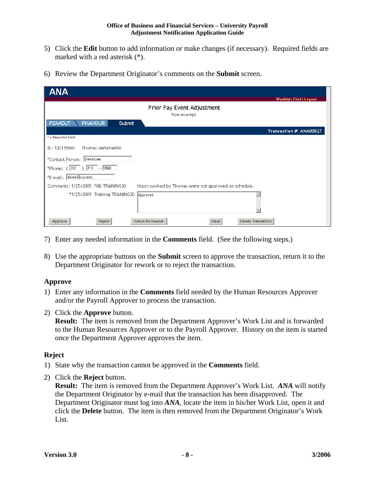#### **Office of Business and Financial Services – University Payroll Adjustment Notification Application Guide**

- 5) Click the **Edit** button to add information or make changes (if necessary). Required fields are marked with a red asterisk (\*).
- 6) Review the Department Originator's comments on the **Submit** screen.

| <b>ANA</b>                                                                                  |                                 |
|---------------------------------------------------------------------------------------------|---------------------------------|
|                                                                                             | <b>Worklist   Find   Logout</b> |
| Prior Pay Event Adjustment<br>Non-exempt                                                    |                                 |
| <b>PHAHOUR</b><br><b>PZAADJT</b><br><b>Submit</b>                                           |                                 |
|                                                                                             | Transaction #: ANA00527         |
| * = Required Field                                                                          |                                 |
| Thomas Verlaine060<br>ID: 120115060                                                         |                                 |
| *Contact Person: Dana Lee                                                                   |                                 |
| *Phone: $( 312 )$ 413 - 9968                                                                |                                 |
| *E-mail: dslee@uic.edu                                                                      |                                 |
| Comments: 1/25/2005 FAB TRAINING30<br>Hours worked by Thomas were not approved on schedule. |                                 |
| *1/25/2005 Training TRAINING30<br>Approved                                                  |                                 |
| Reject<br>Return for Rework<br>Delete Transaction<br>Save<br>Approve                        |                                 |

- 7) Enter any needed information in the **Comments** field. (See the following steps.)
- 8) Use the appropriate buttons on the **Submit** screen to approve the transaction, return it to the Department Originator for rework or to reject the transaction.

#### **Approve**

- 1) Enter any information in the **Comments** field needed by the Human Resources Approver and/or the Payroll Approver to process the transaction.
- 2) Click the **Approve** button.

**Result:** The item is removed from the Department Approver's Work List and is forwarded to the Human Resources Approver or to the Payroll Approver. History on the item is started once the Department Approver approves the item.

#### **Reject**

- 1) State why the transaction cannot be approved in the **Comments** field.
- 2) Click the **Reject** button.

**Result:** The item is removed from the Department Approver's Work List. *ANA* will notify the Department Originator by e-mail that the transaction has been disapproved. The Department Originator must log into *ANA*, locate the item in his/her Work List, open it and click the **Delete** button. The item is then removed from the Department Originator's Work List.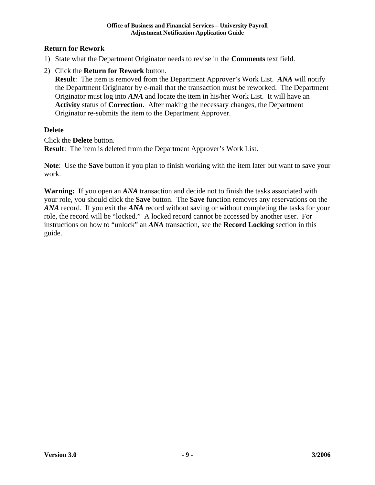#### **Return for Rework**

- 1) State what the Department Originator needs to revise in the **Comments** text field.
- 2) Click the **Return for Rework** button.

**Result**: The item is removed from the Department Approver's Work List. *ANA* will notify the Department Originator by e-mail that the transaction must be reworked. The Department Originator must log into *ANA* and locate the item in his/her Work List. It will have an **Activity** status of **Correction**. After making the necessary changes, the Department Originator re-submits the item to the Department Approver.

#### **Delete**

Click the **Delete** button. **Result:** The item is deleted from the Department Approver's Work List.

**Note**: Use the **Save** button if you plan to finish working with the item later but want to save your work.

**Warning:** If you open an *ANA* transaction and decide not to finish the tasks associated with your role, you should click the **Save** button. The **Save** function removes any reservations on the *ANA* record. If you exit the *ANA* record without saving or without completing the tasks for your role, the record will be "locked." A locked record cannot be accessed by another user. For instructions on how to "unlock" an *ANA* transaction, see the **Record Locking** section in this guide.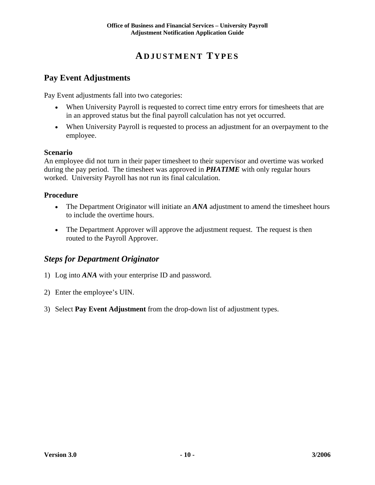## **ADJUSTMENT TYPES**

#### **Pay Event Adjustments**

Pay Event adjustments fall into two categories:

- When University Payroll is requested to correct time entry errors for timesheets that are in an approved status but the final payroll calculation has not yet occurred.
- When University Payroll is requested to process an adjustment for an overpayment to the employee.

#### **Scenario**

An employee did not turn in their paper timesheet to their supervisor and overtime was worked during the pay period. The timesheet was approved in *PHATIME* with only regular hours worked. University Payroll has not run its final calculation.

#### **Procedure**

- The Department Originator will initiate an *ANA* adjustment to amend the timesheet hours to include the overtime hours.
- The Department Approver will approve the adjustment request. The request is then routed to the Payroll Approver.

#### *Steps for Department Originator*

- 1) Log into *ANA* with your enterprise ID and password.
- 2) Enter the employee's UIN.
- 3) Select **Pay Event Adjustment** from the drop-down list of adjustment types.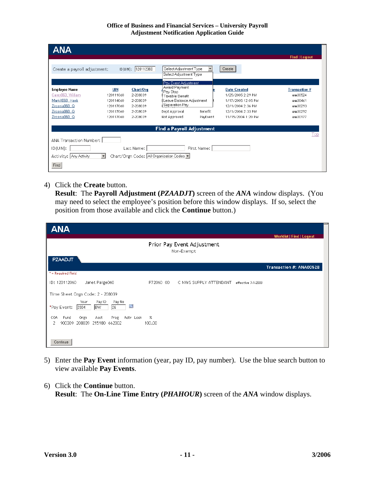#### **Office of Business and Financial Services – University Payroll Adjustment Notification Application Guide**

| <b>ANA</b>                                                                                                          |                                                                             |                                                                       |                                                                                                                                                     |                     |                                                                                                                                |                                                                                  |
|---------------------------------------------------------------------------------------------------------------------|-----------------------------------------------------------------------------|-----------------------------------------------------------------------|-----------------------------------------------------------------------------------------------------------------------------------------------------|---------------------|--------------------------------------------------------------------------------------------------------------------------------|----------------------------------------------------------------------------------|
| Create a payroll adjustment:                                                                                        |                                                                             | ID(UIN): 120112060                                                    | Select Adjustment Type<br>Select Adjustment Type                                                                                                    |                     | Create                                                                                                                         | <b>Find   Logout</b>                                                             |
| <b>Employee Name</b><br>Carey060, William<br>Markill060, Hank<br>Zirconia060, Q<br>Zirconia060, Q<br>Zirconia060, Q | <b>UIN</b><br>120111060<br>120114060<br>120117060<br>120117060<br>120117060 | Chart/Org<br>2-208039<br>2-208039<br>2-208039<br>2-208039<br>2-208039 | Pay Event Adjustment<br>Award Payment<br>Pay Stop<br>Taxable Benefit<br>Leave Balance Adjustment<br>Separation Pay<br>Dept Approval<br>Not Approved | Benefit<br>PayEvent | <b>Date Created</b><br>1/25/2005 2:29 PM<br>1/17/2005 12:05 PM<br>12/1/2004 2:36 PM<br>12/1/2004 2:33 PM<br>11/15/2004 1:20 PM | <b>Transaction #</b><br>ANA00524<br>ANA00461<br>ANA00293<br>ANA00292<br>ANA00177 |
|                                                                                                                     |                                                                             |                                                                       | <b>Find a Payroll Adjustment</b>                                                                                                                    |                     |                                                                                                                                |                                                                                  |
| ANA Transaction Number:<br>ID(UIN):<br>Activity: Any Activity<br>Find                                               | $\overline{\phantom{a}}$                                                    | Last Name:                                                            | Chart/Orgn Code: All Organization Codes                                                                                                             | First Name:         |                                                                                                                                | Top                                                                              |

4) Click the **Create** button.

**Result**: The **Payroll Adjustment (***PZAADJT***)** screen of the *ANA* window displays. (You may need to select the employee's position before this window displays. If so, select the position from those available and click the **Continue** button.)

| <b>ANA</b>                                                                           |             |                                          |                    |                                 |
|--------------------------------------------------------------------------------------|-------------|------------------------------------------|--------------------|---------------------------------|
|                                                                                      |             | Prior Pay Event Adjustment<br>Non-Exempt |                    | <b>Worklist   Find   Logout</b> |
| PZAADJT                                                                              |             |                                          |                    | Transaction #: ANA00528         |
| * = Required Field                                                                   |             |                                          |                    |                                 |
| ID: 120112060<br>Janet Paige060                                                      | P72060 00   | C NWS SUPPLY ATTENDANT                   | effective 7-1-2003 |                                 |
| Time Sheet Orgn Code: 2 - 208039                                                     |             |                                          |                    |                                 |
| Year<br>Pay ID<br>Pay No<br>S<br>26<br>*Pay Event:<br>2004<br><b>BW</b>              |             |                                          |                    |                                 |
| COA<br>Fund<br>Orgn<br>Actv Locn<br>Acct<br>Prog<br>900309 208039 215980 662002<br>2 | %<br>100.00 |                                          |                    |                                 |
| Continue                                                                             |             |                                          |                    |                                 |

- 5) Enter the **Pay Event** information (year, pay ID, pay number). Use the blue search button to view available **Pay Events**.
- 6) Click the **Continue** button. **Result**: The **On-Line Time Entry (***PHAHOUR***)** screen of the *ANA* window displays.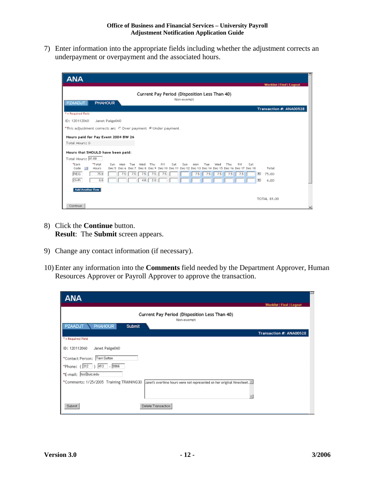7) Enter information into the appropriate fields including whether the adjustment corrects an underpayment or overpayment and the associated hours.

| <b>ANA</b>                                                                                     | Worklist   Find   Logout                                                                                                                                           |
|------------------------------------------------------------------------------------------------|--------------------------------------------------------------------------------------------------------------------------------------------------------------------|
| <b>PHAHOUR</b><br>PZAADJT                                                                      | Current Pay Period (Disposition Less Than 40)<br>Non-exempt                                                                                                        |
| * - Required Field                                                                             | Transaction #: ANA00528                                                                                                                                            |
| ID: 120112060                                                                                  |                                                                                                                                                                    |
| Janet Paige060                                                                                 |                                                                                                                                                                    |
| *This adjustment corrects an: C Over payment @ Under payment                                   |                                                                                                                                                                    |
| Hours paid for Pay Event 2004 BW 26                                                            |                                                                                                                                                                    |
| Total Hours: 0                                                                                 |                                                                                                                                                                    |
| Hours that SHOULD have been paid:                                                              |                                                                                                                                                                    |
| Total Hours: 81.00                                                                             |                                                                                                                                                                    |
| *Earn<br>*Total<br>Sun.<br>AAn n<br>Tue<br>Hours<br>Code<br>瞑<br>Dec 5 Dec 6 Dec 7 Dec 8 Dec 9 | Word.<br>Fri<br>Sat<br>Sun<br><b>Mon</b><br>Thu<br>Fri<br>Sat<br>Thu<br>Tue<br>Word.<br>Total<br>Dec 12 Dec 13 Dec 14 Dec 15 Dec 16 Dec 17 Dec 18<br>Dec 10 Dec 11 |
| REG<br>75.0<br>7.5                                                                             | 7.5<br>因<br>75.00<br>7.5<br>7.5<br>7.5<br>7.5<br>7.5<br>7.5<br>7.5<br>7.5                                                                                          |
| OVR.<br>6.0                                                                                    | 图<br>9 O<br>6,00<br>40                                                                                                                                             |
| <b>Add Another Row</b>                                                                         |                                                                                                                                                                    |
|                                                                                                |                                                                                                                                                                    |
|                                                                                                | <b>TOTAL 81.00</b>                                                                                                                                                 |
| Continue                                                                                       |                                                                                                                                                                    |

- 8) Click the **Continue** button. **Result**: The **Submit** screen appears.
- 9) Change any contact information (if necessary).
- 10) Enter any information into the **Comments** field needed by the Department Approver, Human Resources Approver or Payroll Approver to approve the transaction.

| <b>ANA</b>                                                                                                                     |                          |
|--------------------------------------------------------------------------------------------------------------------------------|--------------------------|
|                                                                                                                                | Worklist   Find   Logout |
| Current Pay Period (Disposition Less Than 40)<br>Non-exempt                                                                    |                          |
| <b>PZAADJT</b><br><b>PHAHOUR</b><br>Submit                                                                                     |                          |
|                                                                                                                                | Transaction #: ANA00528  |
| 7 - Required Field                                                                                                             |                          |
| ID: 120112060<br>Janet Paige060                                                                                                |                          |
| *Contact Person: Terri Sutton                                                                                                  |                          |
| *Phone: (312) 413 - 9966                                                                                                       |                          |
| *E-mail: Iss@uic.edu                                                                                                           |                          |
| *Comments: 1/25/2005 Training TRAINING30<br>Janet's overtime hours were not represented on her original timesheet. $\boxtimes$ |                          |
| Delete Transaction<br>Submit                                                                                                   |                          |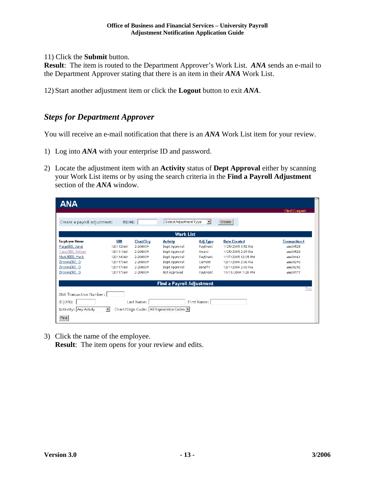11) Click the **Submit** button.

**Result**: The item is routed to the Department Approver's Work List. *ANA* sends an e-mail to the Department Approver stating that there is an item in their *ANA* Work List.

12) Start another adjustment item or click the **Logout** button to exit *ANA*.

#### *Steps for Department Approver*

You will receive an e-mail notification that there is an *ANA* Work List item for your review.

- 1) Log into *ANA* with your enterprise ID and password.
- 2) Locate the adjustment item with an **Activity** status of **Dept Approval** either by scanning your Work List items or by using the search criteria in the **Find a Payroll Adjustment** section of the *ANA* window.

| <b>ANA</b>                   |                |            |                                         |                 |                     |                      |
|------------------------------|----------------|------------|-----------------------------------------|-----------------|---------------------|----------------------|
|                              |                |            |                                         |                 |                     | <b>Find   Logout</b> |
|                              |                |            |                                         |                 |                     |                      |
| Create a payroll adjustment: | $ID$ $(UIN)$ : |            | Select Adjustment Type                  | ▼               | Create              |                      |
|                              |                |            | <b>Work List</b>                        |                 |                     |                      |
| <b>Employee Name</b>         | UIN            | Chart/Org  | <b>Activity</b>                         | <b>Adj Type</b> | <b>Date Created</b> | <b>Transaction #</b> |
| Paige060, Janet              | 120112060      | 2-208039   | Dept Approval                           | PayEvent        | 1/25/2005 3:52 PM   | ANA00528             |
| Carey060, William            | 120111060      | 2-208039   | Dept Approval                           | Award           | 1/25/2005 2:29 PM   | ANA00524             |
| MarkillO60, Hank             | 120114060      | 2-208039   | Dept Approval                           | PayEvent        | 1/17/2005 12:05 PM  | ANA00461             |
| Zirconia060, Q               | 120117060      | 2-208039   | Dept Approval                           | Current         | 12/1/2004 2:36 PM   | ANA00293             |
| Zirconia060, Q               | 120117060      | 2-208039   | Dept Approval                           | Benefit         | 12/1/2004 2:33 PM   | ANA00292             |
| Zirconia060, Q               | 120117060      | 2-208039   | Not Approved                            | PayEvent        | 11/15/2004 1:20 PM  | ANA00177             |
|                              |                |            |                                         |                 |                     |                      |
|                              |                |            | <b>Find a Payroll Adjustment</b>        |                 |                     |                      |
|                              |                |            |                                         |                 |                     | Top                  |
| ANA Transaction Number:      |                |            |                                         |                 |                     |                      |
| $ID$ ( $UN$ ):               |                | Last Name: |                                         | First Name:     |                     |                      |
| Activity: Any Activity       | $\vert$        |            | Chart/Orgn Code: All Organization Codes |                 |                     |                      |
|                              |                |            |                                         |                 |                     |                      |
| Find                         |                |            |                                         |                 |                     |                      |

3) Click the name of the employee.

**Result:** The item opens for your review and edits.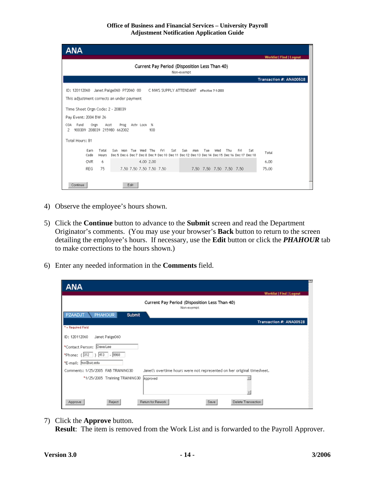#### **Office of Business and Financial Services – University Payroll Adjustment Notification Application Guide**

| ANA                                                                                                                                                                                                                                       |  |  |  |  |  |  |  |
|-------------------------------------------------------------------------------------------------------------------------------------------------------------------------------------------------------------------------------------------|--|--|--|--|--|--|--|
| <b>Worklist   Find   Logout</b>                                                                                                                                                                                                           |  |  |  |  |  |  |  |
| Current Pay Period (Disposition Less Than 40)                                                                                                                                                                                             |  |  |  |  |  |  |  |
| Non-exempt                                                                                                                                                                                                                                |  |  |  |  |  |  |  |
| Transaction #: ANA00528                                                                                                                                                                                                                   |  |  |  |  |  |  |  |
| ID: 120112060 Janet Palge060 P72060 00 C NWS SUPPLY ATTENDANT effective 7-1-2003                                                                                                                                                          |  |  |  |  |  |  |  |
| This adjustment corrects an under payment                                                                                                                                                                                                 |  |  |  |  |  |  |  |
|                                                                                                                                                                                                                                           |  |  |  |  |  |  |  |
| Time Sheet Orgn Code: 2 - 208039                                                                                                                                                                                                          |  |  |  |  |  |  |  |
| Pay Event: 2004 BW 26                                                                                                                                                                                                                     |  |  |  |  |  |  |  |
| Fund<br>Prog<br>COA<br>Oran<br>Acct<br>Acty Locn %<br>900309 208039 215980 662002<br>2<br>100                                                                                                                                             |  |  |  |  |  |  |  |
|                                                                                                                                                                                                                                           |  |  |  |  |  |  |  |
| Total Hours: 81                                                                                                                                                                                                                           |  |  |  |  |  |  |  |
| Earn<br>Total<br>Fri<br>Sat<br>Tue<br>Wed<br>Thu<br>Sun<br>Tue<br>Fri<br>Sat<br>Sun<br>Mon<br>Mon<br>Wed<br>Thu<br>Total<br>Code<br>Dec 5 Dec 6 Dec 7 Dec 8 Dec 9 Dec 10 Dec 11 Dec 12 Dec 13 Dec 14 Dec 15 Dec 16 Dec 17 Dec 18<br>Hours |  |  |  |  |  |  |  |
| 4,00 2,00<br><b>OVR</b><br>6.00.<br>6.                                                                                                                                                                                                    |  |  |  |  |  |  |  |
| 7.50 7.50 7.50 7.50 7.50<br>75<br>7.50 7.50 7.50 7.50 7.50<br>75.00<br>REG                                                                                                                                                                |  |  |  |  |  |  |  |
|                                                                                                                                                                                                                                           |  |  |  |  |  |  |  |
| Continue<br>Edit                                                                                                                                                                                                                          |  |  |  |  |  |  |  |

- 4) Observe the employee's hours shown.
- 5) Click the **Continue** button to advance to the **Submit** screen and read the Department Originator's comments. (You may use your browser's **Back** button to return to the screen detailing the employee's hours. If necessary, use the **Edit** button or click the *PHAHOUR* tab to make corrections to the hours shown.)
- 6) Enter any needed information in the **Comments** field.

| <b>ANA</b>                                 |                                                                        |
|--------------------------------------------|------------------------------------------------------------------------|
|                                            | <b>Worklist   Find   Logout</b>                                        |
|                                            | Current Pay Period (Disposition Less Than 40)<br>Non-exempt            |
| <b>PZAADJT</b><br><b>PHAHOUR</b><br>Submit |                                                                        |
|                                            | Transaction #: ANA00528                                                |
| * = Required Field                         |                                                                        |
| ID: 120112060<br>Janet Paige060            |                                                                        |
| *Contact Person: Dena Lee                  |                                                                        |
| *Phone: (312 ) 413 - 9968                  |                                                                        |
| *E-mail: Itss@uic.edu                      |                                                                        |
| Comments: 1/25/2005 FAB TRAINING30         | Janet's overtime hours were not represented on her original timesheet. |
| *1/25/2005 Training TRAINING30             | Approved                                                               |
| Reject<br>Approve                          | Return for Rework<br>Delete Transaction<br>Save                        |

7) Click the **Approve** button.

**Result**: The item is removed from the Work List and is forwarded to the Payroll Approver.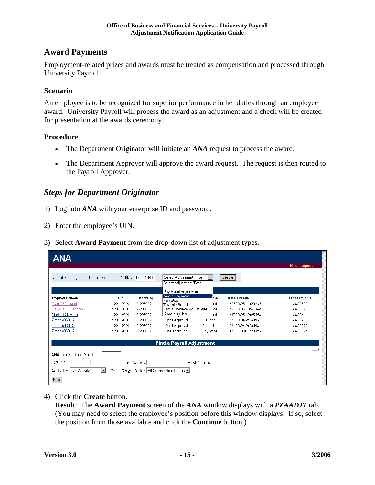#### **Award Payments**

Employment-related prizes and awards must be treated as compensation and processed through University Payroll.

#### **Scenario**

An employee is to be recognized for superior performance in her duties through an employee award. University Payroll will process the award as an adjustment and a check will be created for presentation at the awards ceremony.

#### **Procedure**

- The Department Originator will initiate an *ANA* request to process the award.
- The Department Approver will approve the award request. The request is then routed to the Payroll Approver.

#### *Steps for Department Originator*

- 1) Log into *ANA* with your enterprise ID and password.
- 2) Enter the employee's UIN.
- 3) Select **Award Payment** from the drop-down list of adjustment types.

| ANA                                                |            |                    |                                                  |             |                     |                      |
|----------------------------------------------------|------------|--------------------|--------------------------------------------------|-------------|---------------------|----------------------|
|                                                    |            |                    |                                                  |             |                     | <b>Find   Logout</b> |
| Create a payroll adjustment:                       |            | ID(UIN): 120111060 | Select Adjustment Type<br>Select Adjustment Type |             | Create              |                      |
|                                                    |            |                    | Pay Event Adjustment                             |             |                     |                      |
| <b>Employee Name</b>                               | <b>UIN</b> | Chart/Org          | Award Payment<br>Pay Stop                        | 'nе         | <b>Date Created</b> | <b>Transaction #</b> |
| Paige060, Janet                                    | 120112060  | 2-208039           | Taxable Benefit                                  | ent.        | 1/25/2005 11:23 AM  | ANA00523             |
| Verlaine060, Thomas                                | 120115060  | 2-208039           | Leave Balance Adjustment                         | ent.        | 1/25/2005 10:41 AM  | ANA00522             |
| Markill060, Hank                                   | 120114060  | 2-208039           | Separation Pay                                   | ent.        | 1/17/2005 12:05 PM  | ANA00461             |
| Zirconia060, Q                                     | 120117060  | 2-208039           | Dept Approval                                    | Current     | 12/1/2004 2:36 PM   | ANA00293             |
| Zirconia060, Q                                     | 120117060  | 2-208039           | Dept Approval                                    | Benefit     | 12/1/2004 2:33 PM   | ANA00292             |
| Zirconia060, Q                                     | 120117060  | 2-208039           | Not Approved                                     | PayEvent    | 11/15/2004 1:20 PM  | ANA00177             |
|                                                    |            |                    | <b>Find a Payroll Adjustment</b>                 |             |                     |                      |
|                                                    |            |                    |                                                  |             |                     | Top                  |
| ANA Transaction Number:                            |            |                    |                                                  |             |                     |                      |
| ID(UIN):                                           |            | Last Name:         |                                                  | First Name: |                     |                      |
| $\overline{\phantom{a}}$<br>Activity: Any Activity |            |                    | Chart/Orgn Code: All Organization Codes          |             |                     |                      |
| Find                                               |            |                    |                                                  |             |                     |                      |

4) Click the **Create** button.

**Result**: The **Award Payment** screen of the *ANA* window displays with a *PZAADJT* tab. (You may need to select the employee's position before this window displays. If so, select the position from those available and click the **Continue** button.)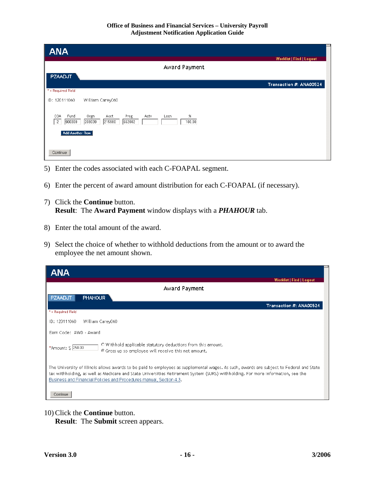| <b>ANA</b>                                                                                                                      |                          |
|---------------------------------------------------------------------------------------------------------------------------------|--------------------------|
|                                                                                                                                 | Worklist   Find   Logout |
| Award Payment                                                                                                                   |                          |
| <b>PZAADJT</b>                                                                                                                  |                          |
|                                                                                                                                 | Transaction #: ANA00524  |
| * = Required Field                                                                                                              |                          |
| ID: 120111060<br>William Carey060                                                                                               |                          |
| $\%$<br>Fund<br>COA<br>Orgn<br>Acct<br>Prog<br>Actv<br>Locn<br>208039<br>215980<br>662002<br>$\overline{c}$<br>900309<br>100.00 |                          |
| Add Another Row                                                                                                                 |                          |
| Continue                                                                                                                        |                          |

- 5) Enter the codes associated with each C-FOAPAL segment.
- 6) Enter the percent of award amount distribution for each C-FOAPAL (if necessary).
- 7) Click the **Continue** button. **Result**: The **Award Payment** window displays with a *PHAHOUR* tab.
- 8) Enter the total amount of the award.
- 9) Select the choice of whether to withhold deductions from the amount or to award the employee the net amount shown.

| <b>ANA</b>                                                                                                                                                                                                                                                                                                                                         |
|----------------------------------------------------------------------------------------------------------------------------------------------------------------------------------------------------------------------------------------------------------------------------------------------------------------------------------------------------|
| Worklist   Find   Logout                                                                                                                                                                                                                                                                                                                           |
| Award Payment                                                                                                                                                                                                                                                                                                                                      |
| <b>PZAADJT</b><br><b>PHAHOUR</b>                                                                                                                                                                                                                                                                                                                   |
| Transaction #: ANA00524                                                                                                                                                                                                                                                                                                                            |
| * = Required Field                                                                                                                                                                                                                                                                                                                                 |
| ID: 120111060<br>William Carey060                                                                                                                                                                                                                                                                                                                  |
| Earn Code: AWD - Award                                                                                                                                                                                                                                                                                                                             |
| O Withhold applicable statutory deductions from this amount.<br>*Amount: \$ 250.00<br><sup>6</sup> Gross up so employee will receive this net amount.                                                                                                                                                                                              |
| The University of Illinois allows awards to be paid to employees as supplemental wages. As such, awards are subject to Federal and State<br>tax withholding, as well as Medicare and State Universities Retirement System (SURS) withholding. For more information, see the<br>Business and Financial Policies and Procedures manual, Section 4.3. |
| Continue                                                                                                                                                                                                                                                                                                                                           |

10) Click the **Continue** button.

**Result**: The **Submit** screen appears.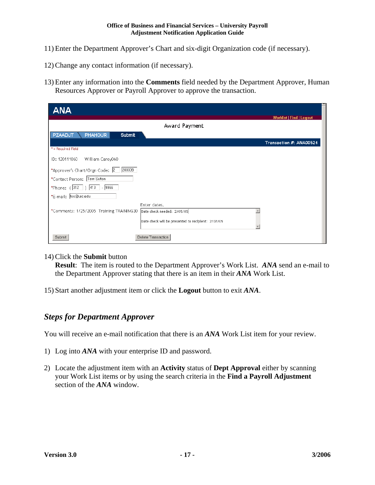- 11) Enter the Department Approver's Chart and six-digit Organization code (if necessary).
- 12) Change any contact information (if necessary).
- 13) Enter any information into the **Comments** field needed by the Department Approver, Human Resources Approver or Payroll Approver to approve the transaction.

| <b>ANA</b>                                 |                                                    |  |
|--------------------------------------------|----------------------------------------------------|--|
|                                            | <b>Worklist   Find   Logout</b>                    |  |
|                                            | Award Payment                                      |  |
| <b>PHAHOUR</b><br><b>PZAADJT</b><br>Submit |                                                    |  |
|                                            | Transaction #: ANA00524                            |  |
| * = Required Field                         |                                                    |  |
| ID: 120111060<br>William Carey060          |                                                    |  |
| *Approver's Chart/Orgn Code: 2<br>208039   |                                                    |  |
| *Contact Person: Terri Sutton              |                                                    |  |
| *Phone: $(312   )$ 413 - 9966              |                                                    |  |
| *E-mail:  tss@uic.edu                      |                                                    |  |
|                                            | Enter dates.                                       |  |
| *Comments: 1/25/2005 Training TRAINING30   | Date check needed: 2/05/05                         |  |
|                                            | Date check will be presented to recipient: 2/07/05 |  |
|                                            |                                                    |  |
| Submit                                     | Delete Transaction                                 |  |

#### 14) Click the **Submit** button

**Result**: The item is routed to the Department Approver's Work List. *ANA* send an e-mail to the Department Approver stating that there is an item in their *ANA* Work List.

15) Start another adjustment item or click the **Logout** button to exit *ANA*.

#### *Steps for Department Approver*

You will receive an e-mail notification that there is an **ANA** Work List item for your review.

- 1) Log into *ANA* with your enterprise ID and password.
- 2) Locate the adjustment item with an **Activity** status of **Dept Approval** either by scanning your Work List items or by using the search criteria in the **Find a Payroll Adjustment** section of the *ANA* window.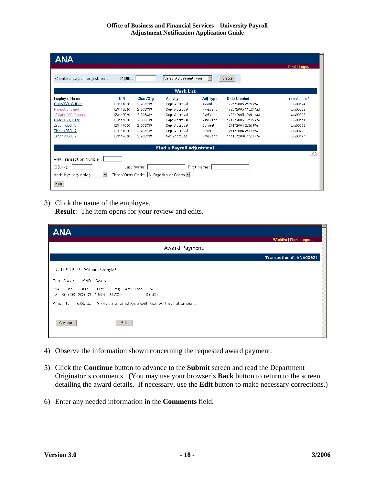| <b>ANA</b>                                    |             |            |                                         |                     |                     |                      |
|-----------------------------------------------|-------------|------------|-----------------------------------------|---------------------|---------------------|----------------------|
|                                               |             |            |                                         |                     |                     | <b>Find   Logout</b> |
|                                               |             |            |                                         |                     |                     |                      |
| Create a payroll adjustment:                  | $ID$ (UIN): |            | Select Adjustment Type                  | $\vert \cdot \vert$ | Create              |                      |
|                                               |             |            |                                         |                     |                     |                      |
|                                               |             |            | <b>Work List</b>                        |                     |                     |                      |
| <b>Employee Name</b>                          | <b>UIN</b>  | Chart/Org  | <b>Activity</b>                         | <b>Adj Type</b>     | <b>Date Created</b> | <b>Transaction #</b> |
| Carey060, William                             | 120111060   | 2-208039   | Dept Approval                           | Award               | 1/25/2005 2:29 PM   | ANA00524             |
| Paige060, Janet                               | 120112060   | 2-208039   | Dept Approval                           | PayEvent            | 1/25/2005 11:23 AM  | ANA00523             |
| Verlaine060, Thomas                           | 120115060   | 2-208039   | Dept Approval                           | PayEvent            | 1/25/2005 10:41 AM  | ANA00522             |
| Markill060, Hank                              | 120114060   | 2-208039   | Dept Approval                           | PayEvent            | 1/17/2005 12:05 PM  | ANA00461             |
| Zirconia060, Q                                | 120117060   | 2-208039   | Dept Approval                           | Current             | 12/1/2004 2:36 PM   | ANA00293             |
| Zirconia060, Q                                | 120117060   | 2-208039   | Dept Approval                           | Benefit             | 12/1/2004 2:33 PM   | ANA00292             |
| Zirconia060, Q                                | 120117060   | 2-208039   | Not Approved                            | PayEvent            | 11/15/2004 1:20 PM  | ANA00177             |
|                                               |             |            |                                         |                     |                     |                      |
|                                               |             |            | <b>Find a Payroll Adjustment</b>        |                     |                     |                      |
|                                               |             |            |                                         |                     |                     | Top                  |
| ANA Transaction Number:                       |             |            |                                         |                     |                     |                      |
| $ID$ (UIN):                                   |             | Last Name: |                                         | First Name:         |                     |                      |
| $\vert \cdot \vert$<br>Activity: Any Activity |             |            | Chart/Orgn Code: All Organization Codes |                     |                     |                      |
| Find                                          |             |            |                                         |                     |                     |                      |

3) Click the name of the employee. **Result**: The item opens for your review and edits.

| <b>ANA</b>                                                                                                                                                                                                                                            |                                 |
|-------------------------------------------------------------------------------------------------------------------------------------------------------------------------------------------------------------------------------------------------------|---------------------------------|
| Award Payment                                                                                                                                                                                                                                         | <b>Worklist   Find   Logout</b> |
|                                                                                                                                                                                                                                                       |                                 |
|                                                                                                                                                                                                                                                       | Transaction #: ANA00524         |
| William Carey060<br>ID: 120111060<br>Earn Code:<br>AWD - Award<br>COA<br>Fund<br>Acct<br>Prog<br>Acty Locn<br>$\%$<br>Orgn<br>900309 208039 215980 662002<br>2<br>100.00<br>Gross up so employee will receive this net amount.<br>\$250.00<br>Amount: |                                 |
| Continue<br>Edit                                                                                                                                                                                                                                      |                                 |

- 4) Observe the information shown concerning the requested award payment.
- 5) Click the **Continue** button to advance to the **Submit** screen and read the Department Originator's comments. (You may use your browser's **Back** button to return to the screen detailing the award details. If necessary, use the **Edit** button to make necessary corrections.)
- 6) Enter any needed information in the **Comments** field.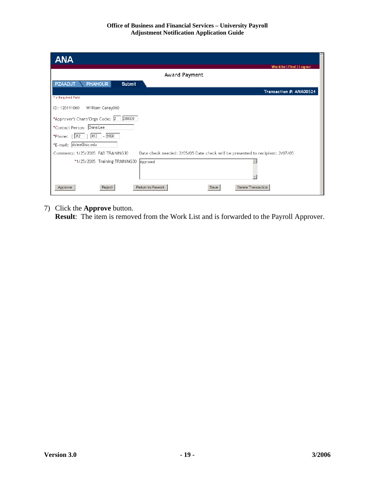| <b>ANA</b>                                                                                                          |
|---------------------------------------------------------------------------------------------------------------------|
| Worklist   Find   Logout                                                                                            |
| Award Payment                                                                                                       |
| <b>PZAADJT</b><br><b>PHAHOUR</b><br>Submit                                                                          |
| Transaction #: ANA00524                                                                                             |
| * = Required Field                                                                                                  |
| ID: 120111060<br>William Carey060                                                                                   |
| *Approver's Chart/Orgn Code: 2<br>208039                                                                            |
| *Contact Person: Dana Lee                                                                                           |
| *Phone: $(312)$  413  -9968                                                                                         |
| *E-mail: dslee@uic.edu                                                                                              |
| Date check needed: 2/05/05 Date check will be presented to recipient: 2/07/05<br>Comments: 1/25/2005 FAB TRAINING30 |
| *1/25/2005 Training TRAINING30<br>Approved                                                                          |
| Reject<br>Return for Rework<br>Save<br>Delete Transaction<br>Approve                                                |

7) Click the **Approve** button.

**Result**: The item is removed from the Work List and is forwarded to the Payroll Approver.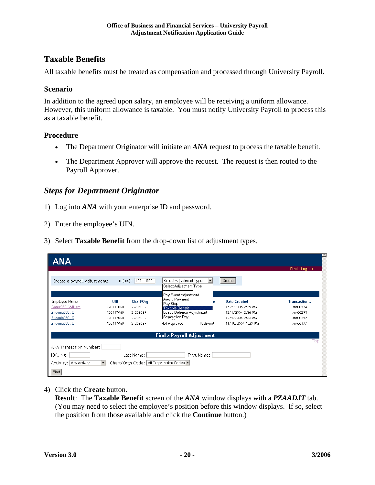#### **Taxable Benefits**

All taxable benefits must be treated as compensation and processed through University Payroll.

#### **Scenario**

In addition to the agreed upon salary, an employee will be receiving a uniform allowance. However, this uniform allowance is taxable. You must notify University Payroll to process this as a taxable benefit.

#### **Procedure**

- The Department Originator will initiate an *ANA* request to process the taxable benefit.
- The Department Approver will approve the request. The request is then routed to the Payroll Approver.

#### *Steps for Department Originator*

- 1) Log into *ANA* with your enterprise ID and password.
- 2) Enter the employee's UIN.
- 3) Select **Taxable Benefit** from the drop-down list of adjustment types.

| ANA                                                                                             |                                                                                                                      |                                                                                                                                                        |                                                                                                          |                                                                      |
|-------------------------------------------------------------------------------------------------|----------------------------------------------------------------------------------------------------------------------|--------------------------------------------------------------------------------------------------------------------------------------------------------|----------------------------------------------------------------------------------------------------------|----------------------------------------------------------------------|
| Create a payroll adjustment:                                                                    | ID(UIN): 120114060                                                                                                   | Select Adjustment Type<br>Select Adjustment Type                                                                                                       | Create                                                                                                   | <b>Find   Logout</b>                                                 |
| <b>Employee Name</b><br>Carey060, William<br>Zirconia060, Q<br>Zirconia060, Q<br>Zirconia060, Q | UIN<br>Chart/Org<br>2-208039<br>120111060<br>120117060<br>2-208039<br>120117060<br>2-208039<br>2-208039<br>120117060 | Pay Event Adjustment<br>Award Payment<br>Pay Stop<br><b>Taxable Benefit</b><br>Leave Balance Adjustment<br> Separation Pay<br>PayEvent<br>Not Approved | <b>Date Created</b><br>1/25/2005 2:29 PM<br>12/1/2004 2:36 PM<br>12/1/2004 2:33 PM<br>11/15/2004 1:20 PM | <b>Transaction #</b><br>ANA00524<br>ANA00293<br>ANA00292<br>ANA00177 |
|                                                                                                 |                                                                                                                      | <b>Find a Payroll Adjustment</b>                                                                                                                       |                                                                                                          |                                                                      |
| ANA Transaction Number:<br>ID (UIN):<br>Activity: Any Activity<br>Find                          | Last Name:<br>Chart/Orgn Code: All Organization Codes<br>$\mathbf{r}$                                                | First Name:                                                                                                                                            |                                                                                                          | Top                                                                  |

4) Click the **Create** button.

**Result**: The **Taxable Benefit** screen of the *ANA* window displays with a *PZAADJT* tab. (You may need to select the employee's position before this window displays. If so, select the position from those available and click the **Continue** button.)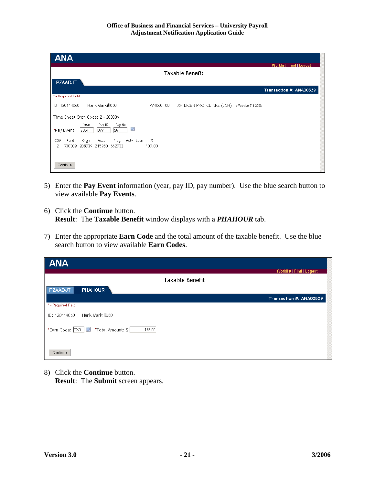| <b>ANA</b>                                                                              |             |                           |                    |                                 |
|-----------------------------------------------------------------------------------------|-------------|---------------------------|--------------------|---------------------------------|
|                                                                                         |             | Taxable Benefit           |                    | <b>Worklist   Find   Logout</b> |
| <b>PZAADJT</b>                                                                          |             |                           |                    | Transaction #: ANA00529         |
| * = Required Field                                                                      |             |                           |                    |                                 |
| Hank Markill060<br>ID: 120114060                                                        | P74060 00   | XH LICEN PRCTCL NRS (LCH) | effective 7-1-2003 |                                 |
| Time Sheet Orgn Code: 2 - 208039                                                        |             |                           |                    |                                 |
| Pay No<br>Year<br>Pay ID<br>S.<br>26<br><b>BW</b><br>*Pay Event:<br>2004                |             |                           |                    |                                 |
| Fund<br>COA<br>Orgn<br>Prog<br>Acty Locn<br>Acct<br>900309<br>208039 215980 662002<br>2 | %<br>100.00 |                           |                    |                                 |
|                                                                                         |             |                           |                    |                                 |
| Continue                                                                                |             |                           |                    |                                 |

- 5) Enter the **Pay Event** information (year, pay ID, pay number). Use the blue search button to view available **Pay Events**.
- 6) Click the **Continue** button. **Result**: The **Taxable Benefit** window displays with a *PHAHOUR* tab.
- 7) Enter the appropriate **Earn Code** and the total amount of the taxable benefit. Use the blue search button to view available **Earn Codes**.

| <b>ANA</b>                                    |                          |
|-----------------------------------------------|--------------------------|
|                                               | Worklist   Find   Logout |
| Taxable Benefit                               |                          |
| <b>PHAHOUR</b><br>PZAADJT                     |                          |
|                                               | Transaction #: ANA00529  |
| * = Required Field                            |                          |
| Hank Markill060<br>  ID: 120114060            |                          |
| *Earn Code: TX9   *Total Amount: \$<br>185.00 |                          |
| Continue                                      |                          |

8) Click the **Continue** button. **Result**: The **Submit** screen appears.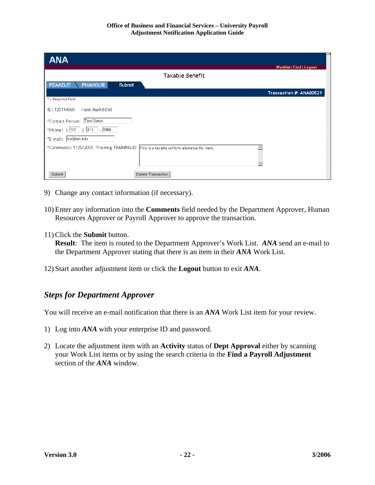| <b>ANA</b>                                                                                |                          |
|-------------------------------------------------------------------------------------------|--------------------------|
| <b>Taxable Benefit</b>                                                                    | Worklist   Find   Logout |
| <b>PHAHOUR</b><br><b>PZAADJT</b><br>Submit                                                |                          |
| * = Required Field                                                                        | Transaction #: ANA00529  |
| Hank Markill060<br>ID: 120114060                                                          |                          |
| *Contact Person: Terri Sutton                                                             |                          |
| *Phone: $(312)$  413   - 9966                                                             |                          |
| *E-mail: [tss@uic.edu]                                                                    |                          |
| *Comments: 1/25/2005 Training TRAINING30<br>This is a taxable uniform allowance for Hank. |                          |
| Delete Transaction<br>Submit                                                              |                          |

- 9) Change any contact information (if necessary).
- 10) Enter any information into the **Comments** field needed by the Department Approver, Human Resources Approver or Payroll Approver to approve the transaction.
- 11) Click the **Submit** button.

**Result**: The item is routed to the Department Approver's Work List. *ANA* send an e-mail to the Department Approver stating that there is an item in their *ANA* Work List.

12) Start another adjustment item or click the **Logout** button to exit *ANA*.

#### *Steps for Department Approver*

You will receive an e-mail notification that there is an *ANA* Work List item for your review.

- 1) Log into *ANA* with your enterprise ID and password.
- 2) Locate the adjustment item with an **Activity** status of **Dept Approval** either by scanning your Work List items or by using the search criteria in the **Find a Payroll Adjustment** section of the *ANA* window.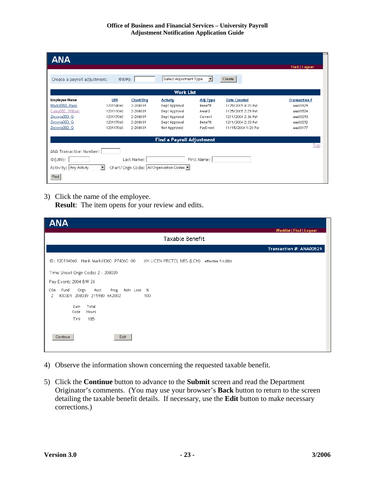| Create a payroll adjustment: | $ID$ $[UN]$ : |           |                                     |                 |                     |                      |
|------------------------------|---------------|-----------|-------------------------------------|-----------------|---------------------|----------------------|
| <b>Employee Name</b>         | <b>UIN</b>    | Chart/Org | <b>Work List</b><br><b>Activity</b> | <b>Adj Type</b> | <b>Date Created</b> | <b>Transaction #</b> |
| Markill060, Hank             | 120114060     | 2-208039  | Dept Approval                       | Benefit         | 1/25/2005 4:20 PM   | ANA00529             |
| Carey060, William            | 120111060     | 2-208039  | Dept Approval                       | Award           | 1/25/2005 2:29 PM   | ANA00524             |
| Zirconia060, Q               | 120117060     | 2-208039  | Dept Approval                       | Current         | 12/1/2004 2:36 PM   | ANA00293             |
| Zirconia060, Q               | 120117060     | 2-208039  | Dept Approval                       | Benefit         | 12/1/2004 2:33 PM   | ANA00292             |
| Zirconia060, Q               | 120117060     | 2-208039  | Not Approved                        | PayEvent        | 11/15/2004 1:20 PM  | ANA00177             |
|                              |               |           | <b>Find a Payroll Adjustment</b>    |                 |                     |                      |
|                              |               |           |                                     |                 |                     | Top                  |
| ANA Transaction Number:      |               |           |                                     |                 |                     |                      |

3) Click the name of the employee. **Result**: The item opens for your review and edits.

| <b>ANA</b>                                                                              |                                 |
|-----------------------------------------------------------------------------------------|---------------------------------|
|                                                                                         | <b>Worklist   Find   Logout</b> |
| Taxable Benefit                                                                         |                                 |
|                                                                                         | Transaction #: ANA00529         |
| ID: 120114060 Hank Markill060 P74060 00<br>XH LICEN PRCTCL NRS (LCH) effective 7-1-2003 |                                 |
| Time Sheet Orgn Code: 2 - 208039                                                        |                                 |
| Pay Event: 2004 BW 26                                                                   |                                 |
| COA<br>Fund<br>Orgn<br>Acct<br>Prog<br>Acty Loon %                                      |                                 |
| 900309 208039 215980 662002<br>2<br>100                                                 |                                 |
| Total<br>Earn<br>Code<br>Hours                                                          |                                 |
| 185<br>TX9                                                                              |                                 |
|                                                                                         |                                 |
| Continue<br>Edit                                                                        |                                 |
|                                                                                         |                                 |

- 4) Observe the information shown concerning the requested taxable benefit.
- 5) Click the **Continue** button to advance to the **Submit** screen and read the Department Originator's comments. (You may use your browser's **Back** button to return to the screen detailing the taxable benefit details. If necessary, use the **Edit** button to make necessary corrections.)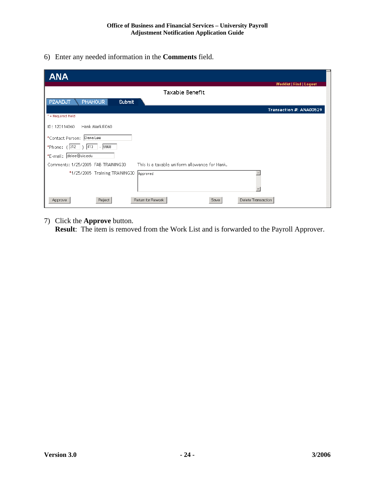6) Enter any needed information in the **Comments** field.

| <b>ANA</b>                                                                          |
|-------------------------------------------------------------------------------------|
| <b>Worklist   Find   Logout</b>                                                     |
| Taxable Benefit                                                                     |
| <b>PHAHOUR</b><br>PZAADJT<br>Submit                                                 |
| Transaction #: ANA00529                                                             |
| * = Required Field                                                                  |
| ID: 120114060<br>Hank Markill060                                                    |
| *Contact Person: Dana Lee                                                           |
| 【 *Phone: ( 312  ) 413  -  9968                                                     |
| *E-mail: dslee@uic.edu                                                              |
| This is a taxable uniform allowance for Hank.<br>Comments: 1/25/2005 FAB TRAINING30 |
| *1/25/2005 Training TRAINING30<br>Approved                                          |
| Return for Rework<br>Delete Transaction<br>Reject<br>Approve<br>Save                |

7) Click the **Approve** button.

**Result**: The item is removed from the Work List and is forwarded to the Payroll Approver.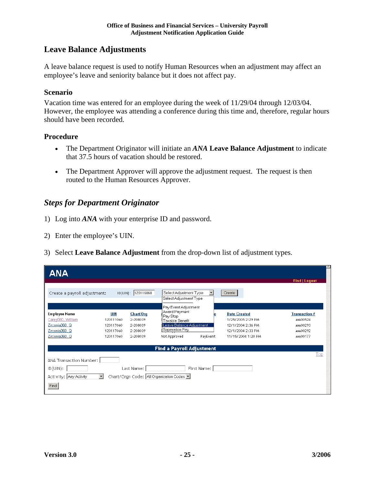#### **Leave Balance Adjustments**

A leave balance request is used to notify Human Resources when an adjustment may affect an employee's leave and seniority balance but it does not affect pay.

#### **Scenario**

Vacation time was entered for an employee during the week of 11/29/04 through 12/03/04. However, the employee was attending a conference during this time and, therefore, regular hours should have been recorded.

#### **Procedure**

- The Department Originator will initiate an *ANA* **Leave Balance Adjustment** to indicate that 37.5 hours of vacation should be restored.
- The Department Approver will approve the adjustment request. The request is then routed to the Human Resources Approver.

#### *Steps for Department Originator*

- 1) Log into *ANA* with your enterprise ID and password.
- 2) Enter the employee's UIN.
- 3) Select **Leave Balance Adjustment** from the drop-down list of adjustment types.

| <b>ANA</b>                                                                                      |                                                         |                                                           |                                                                                                                                                              |             |                                                                                                          |                                                                      |
|-------------------------------------------------------------------------------------------------|---------------------------------------------------------|-----------------------------------------------------------|--------------------------------------------------------------------------------------------------------------------------------------------------------------|-------------|----------------------------------------------------------------------------------------------------------|----------------------------------------------------------------------|
| Create a payroll adjustment:                                                                    |                                                         | ID(UIN): 120116060                                        | Select Adjustment Type                                                                                                                                       |             | Create                                                                                                   | <b>Find   Logout</b>                                                 |
| <b>Employee Name</b><br>Carey060, William<br>Zirconia060, Q<br>Zirconia060, Q<br>Zirconia060, Q | UIN<br>120111060<br>120117060<br>120117060<br>120117060 | Chart/Org<br>2-208039<br>2-208039<br>2-208039<br>2-208039 | Select Adjustment Type<br>Pay Event Adjustment<br>Award Payment<br>Pay Stop<br>Taxable Benefit<br>Leave Balance Adjustment<br>Separation Pay<br>Not Approved | PayEvent    | <b>Date Created</b><br>1/25/2005 2:29 PM<br>12/1/2004 2:36 PM<br>12/1/2004 2:33 PM<br>11/15/2004 1:20 PM | <b>Transaction #</b><br>ANA00524<br>ANA00293<br>ANA00292<br>ANA00177 |
|                                                                                                 |                                                         |                                                           | <b>Find a Payroll Adjustment</b>                                                                                                                             |             |                                                                                                          |                                                                      |
| ANA Transaction Number:  <br>ID(UIN):<br>Activity: Any Activity<br>Find                         | $\mathbf{r}$                                            | Last Name:                                                | Chart/Orgn Code:   All Organization Codes                                                                                                                    | First Name: |                                                                                                          | Top                                                                  |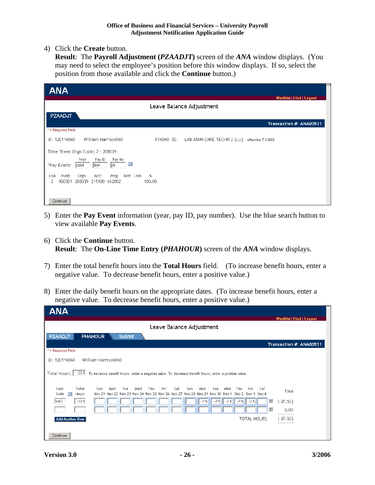4) Click the **Create** button.

**Result**: The **Payroll Adjustment (***PZAADJT***)** screen of the *ANA* window displays. (You may need to select the employee's position before this window displays. If so, select the position from those available and click the **Continue** button.)

| <b>ANA</b>                                                                           |                |                            |                          |
|--------------------------------------------------------------------------------------|----------------|----------------------------|--------------------------|
|                                                                                      |                | Leave Balance Adjustment   | Worklist   Find   Logout |
| <b>PZAADJT</b>                                                                       |                |                            |                          |
|                                                                                      |                |                            | Transaction #: ANA00531  |
| * = Required Field                                                                   |                |                            |                          |
| William Harrison060<br>ID: 120116060                                                 | P76060 00      | LAB ANIM CARE TECHN 2 (LU) | effective 7-1-2003       |
| Time Sheet Orgn Code: 2 - 208039                                                     |                |                            |                          |
| Pay ID<br>Pay No<br>Year<br>S.<br>25<br><b>BW</b><br>*Pay Event:<br>2004             |                |                            |                          |
| COA<br>Prog<br>Acty Locn<br>Orgn<br>Acct<br>Fund<br>900309 208039 215980 662002<br>2 | $\%$<br>100.00 |                            |                          |
|                                                                                      |                |                            |                          |
| Continue                                                                             |                |                            |                          |

- 5) Enter the **Pay Event** information (year, pay ID, pay number). Use the blue search button to view available **Pay Events**.
- 6) Click the **Continue** button. **Result**: The **On-Line Time Entry (***PHAHOUR***)** screen of the *ANA* window displays.
- 7) Enter the total benefit hours into the **Total Hours** field. (To increase benefit hours, enter a negative value. To decrease benefit hours, enter a positive value.)
- 8) Enter the daily benefit hours on the appropriate dates. (To increase benefit hours, enter a negative value. To decrease benefit hours, enter a positive value.)

| <b>ANA</b>                                                                                                                                                                                                                             | <b>Worklist   Find   Logout</b> |
|----------------------------------------------------------------------------------------------------------------------------------------------------------------------------------------------------------------------------------------|---------------------------------|
| Leave Balance Adjustment                                                                                                                                                                                                               |                                 |
| PZAADJT<br><b>PHAHOUR</b><br><b>Submit</b>                                                                                                                                                                                             |                                 |
| * = Required Field                                                                                                                                                                                                                     | Transaction #: ANA00531         |
| William Harrison060<br>ID: 120116060                                                                                                                                                                                                   |                                 |
| Total Hours:  <br>-37.5 To increase benefit hours, enter a negative value. To decrease benefit hours, enter a positive value.                                                                                                          |                                 |
| Total<br>Earn<br>Sun<br>Thu<br>Mon<br>Wed<br>Fri<br>Sat<br>Sun.<br>Mon.<br>Tue<br>Wed<br>Thu<br>Fri<br>Tue<br>Sat<br>Nov 21 Nov 22 Nov 23 Nov 24 Nov 25 Nov 26 Nov 27 Nov 28 Nov 29 Nov 30 Dec 1<br>Dec 2 Dec 3 Dec 4<br>Code<br>Hours | Total                           |
| $-37.5$<br>$-7.5$ $-7.5$<br> VAC <br>$-7.5$<br>$-7.5$<br>$-7.5$                                                                                                                                                                        | 耳<br>37.50)                     |
|                                                                                                                                                                                                                                        | 工<br>0.00                       |
| TOTAL HOURS<br><b>Add Another Row</b>                                                                                                                                                                                                  | (37.50)                         |
| Continue                                                                                                                                                                                                                               |                                 |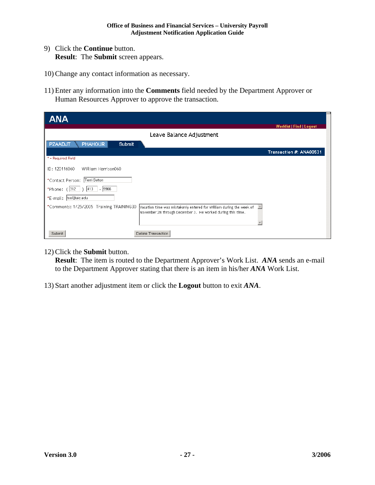- 9) Click the **Continue** button. **Result**: The **Submit** screen appears.
- 10) Change any contact information as necessary.
- 11) Enter any information into the **Comments** field needed by the Department Approver or Human Resources Approver to approve the transaction.

| <b>ANA</b>                                                                                                                                                                                         |                                 |
|----------------------------------------------------------------------------------------------------------------------------------------------------------------------------------------------------|---------------------------------|
|                                                                                                                                                                                                    | <b>Worklist   Find   Logout</b> |
| Leave Balance Adjustment                                                                                                                                                                           |                                 |
| <b>PHAHOUR</b><br><b>PZAADJT</b><br><b>Submit</b>                                                                                                                                                  |                                 |
|                                                                                                                                                                                                    | Transaction #: ANA00531         |
| * = Required Field                                                                                                                                                                                 |                                 |
| ID: 120116060<br>William Harrison060                                                                                                                                                               |                                 |
| *Contact Person: Terri Sutton                                                                                                                                                                      |                                 |
| *Phone: $(312 \mid)$ 413 - 9966                                                                                                                                                                    |                                 |
| *E-mail: tss@uic.edu                                                                                                                                                                               |                                 |
| *Comments: 1/25/2005 Training TRAINING30<br>Vacation time was mistakenly entered for William during the week of<br>$\blacktriangle$<br>November 28 through December 3. He worked during this time. |                                 |
| Delete Transaction<br>Submit                                                                                                                                                                       |                                 |

12) Click the **Submit** button.

**Result**: The item is routed to the Department Approver's Work List. *ANA* sends an e-mail to the Department Approver stating that there is an item in his/her *ANA* Work List.

13) Start another adjustment item or click the **Logout** button to exit *ANA*.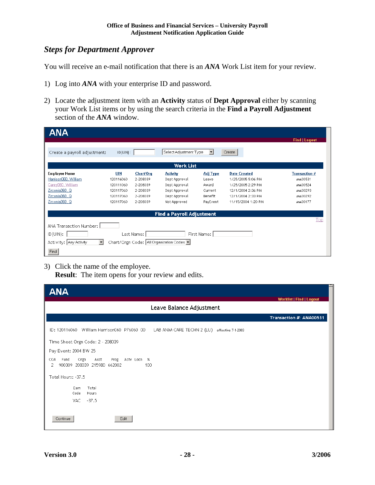#### *Steps for Department Approver*

You will receive an e-mail notification that there is an *ANA* Work List item for your review.

- 1) Log into *ANA* with your enterprise ID and password.
- 2) Locate the adjustment item with an **Activity** status of **Dept Approval** either by scanning your Work List items or by using the search criteria in the **Find a Payroll Adjustment** section of the *ANA* window.

| <b>ANA</b>                        |             |            |                                         |                      |                     |                      |
|-----------------------------------|-------------|------------|-----------------------------------------|----------------------|---------------------|----------------------|
|                                   |             |            |                                         |                      |                     | <b>Find   Logout</b> |
| Create a payroll adjustment:      | $ID$ (UIN): |            | Select Adjustment Type                  | $\blacktriangledown$ | Create              |                      |
|                                   |             |            | <b>Work List</b>                        |                      |                     |                      |
| <b>Employee Name</b>              | UIN         | Chart/Org  | <b>Activity</b>                         | <b>Adj Type</b>      | <b>Date Created</b> | <b>Transaction #</b> |
| Harrison060, William              | 120116060   | 2-208039   | Dept Approval                           | Leave                | 1/25/2005 5:06 PM   | ANA00531             |
| Carey060, William                 | 120111060   | 2-208039   | Dept Approval                           | Award                | 1/25/2005 2:29 PM   | ANA00524             |
| Zirconia060, Q                    | 120117060   | 2-208039   | Dept Approval                           | Current              | 12/1/2004 2:36 PM   | ANA00293             |
| Zirconia060, Q                    | 120117060   | 2-208039   | Dept Approval                           | Benefit              | 12/1/2004 2:33 PM   | ANA00292             |
| Zirconia060, Q                    | 120117060   | 2-208039   | Not Approved                            | PayEvent             | 11/15/2004 1:20 PM  | ANA00177             |
|                                   |             |            | <b>Find a Payroll Adjustment</b>        |                      |                     |                      |
|                                   |             |            |                                         |                      |                     | Top                  |
| ANA Transaction Number:           |             |            |                                         |                      |                     |                      |
| ID(UIN):                          |             | Last Name: |                                         | First Name:          |                     |                      |
| $\vert$<br>Activity: Any Activity |             |            | Chart/Orgn Code: All Organization Codes |                      |                     |                      |
| Find                              |             |            |                                         |                      |                     |                      |

3) Click the name of the employee. **Result**: The item opens for your review and edits.

| <b>ANA</b>                                                                                   |
|----------------------------------------------------------------------------------------------|
| Worklist   Find   Logout                                                                     |
| Leave Balance Adjustment                                                                     |
| Transaction #: ANA00531                                                                      |
| ID: 120116060 William Harrison060 P76060 00<br>LAB ANIM CARE TECHN 2 (LU) effective 7-1-2003 |
| Time Sheet Orgn Code: 2 - 208039                                                             |
| Pay Event: 2004 BW 25                                                                        |
| Fund<br>Orgn<br>Acct<br>Prog Acty Locn %<br>COA<br>900309 208039 215980 662002<br>100<br>2   |
| Total Hours: -37.5                                                                           |
| Total<br>Earn<br>Code<br>Hours                                                               |
| $-37.5$<br>VAC.                                                                              |
| Continue<br>Edit                                                                             |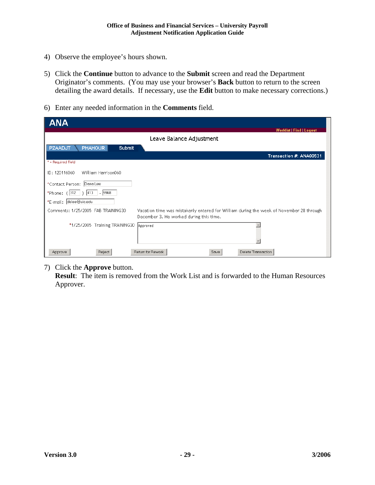- 4) Observe the employee's hours shown.
- 5) Click the **Continue** button to advance to the **Submit** screen and read the Department Originator's comments. (You may use your browser's **Back** button to return to the screen detailing the award details. If necessary, use the **Edit** button to make necessary corrections.)
- 6) Enter any needed information in the **Comments** field.

| <b>ANA</b>                                                                                                                                                               |
|--------------------------------------------------------------------------------------------------------------------------------------------------------------------------|
| <b>Worklist   Find   Logout</b>                                                                                                                                          |
| Leave Balance Adjustment                                                                                                                                                 |
| <b>PHAHOUR</b><br><b>PZAADJT</b><br>Submit                                                                                                                               |
| Transaction #: ANA00531                                                                                                                                                  |
| * = Required Field                                                                                                                                                       |
| ID: 120116060<br>William Harrison060                                                                                                                                     |
| *Contact Person: Dana Lee                                                                                                                                                |
| $ 413\rangle$<br>9968<br>*Phone: (312<br>$\sim$                                                                                                                          |
| *E-mail: dslee@uic.edu                                                                                                                                                   |
| Comments: 1/25/2005 FAB TRAINING30<br>Vacation time was mistakenly entered for William during the week of November 28 through<br>December 3. He worked during this time. |
| *1/25/2005 Training TRAINING30<br>Approved                                                                                                                               |
| Return for Rework<br>Delete Transaction<br>Reject<br>Save<br>Approve                                                                                                     |

7) Click the **Approve** button.

**Result**: The item is removed from the Work List and is forwarded to the Human Resources Approver.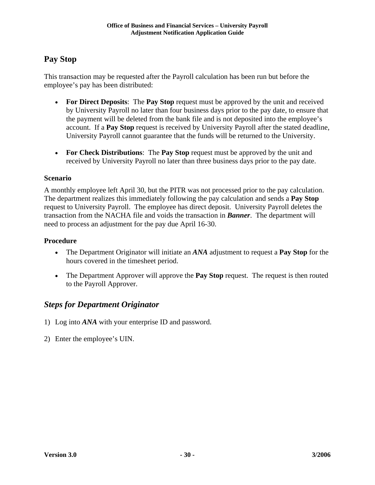### **Pay Stop**

This transaction may be requested after the Payroll calculation has been run but before the employee's pay has been distributed:

- **For Direct Deposits**: The **Pay Stop** request must be approved by the unit and received by University Payroll no later than four business days prior to the pay date, to ensure that the payment will be deleted from the bank file and is not deposited into the employee's account. If a **Pay Stop** request is received by University Payroll after the stated deadline, University Payroll cannot guarantee that the funds will be returned to the University.
- **For Check Distributions**: The **Pay Stop** request must be approved by the unit and received by University Payroll no later than three business days prior to the pay date.

#### **Scenario**

A monthly employee left April 30, but the PITR was not processed prior to the pay calculation. The department realizes this immediately following the pay calculation and sends a **Pay Stop** request to University Payroll. The employee has direct deposit. University Payroll deletes the transaction from the NACHA file and voids the transaction in *Banner*. The department will need to process an adjustment for the pay due April 16-30.

#### **Procedure**

- The Department Originator will initiate an *ANA* adjustment to request a **Pay Stop** for the hours covered in the timesheet period.
- The Department Approver will approve the **Pay Stop** request. The request is then routed to the Payroll Approver.

### *Steps for Department Originator*

- 1) Log into *ANA* with your enterprise ID and password.
- 2) Enter the employee's UIN.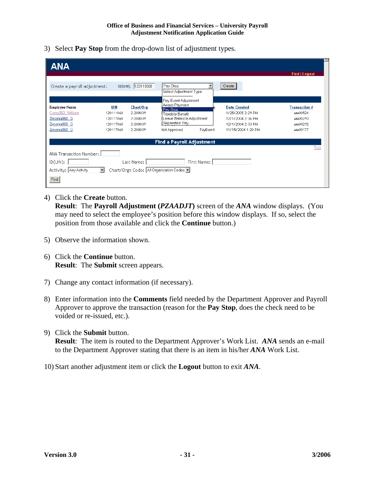3) Select **Pay Stop** from the drop-down list of adjustment types.

| <b>ANA</b>                                                                                                                                                  |                                                         |                                                           |                                                                                                                                                 |                                                                                                          |                                                                      |
|-------------------------------------------------------------------------------------------------------------------------------------------------------------|---------------------------------------------------------|-----------------------------------------------------------|-------------------------------------------------------------------------------------------------------------------------------------------------|----------------------------------------------------------------------------------------------------------|----------------------------------------------------------------------|
| Create a payroll adjustment:                                                                                                                                |                                                         | ID(UIN): 120119060                                        | Pay Stop<br>٠<br>Select Adjustment Type                                                                                                         | Create                                                                                                   | <b>Find   Logout</b>                                                 |
| Employee Name<br>Carey060, William<br>Zirconia060, Q<br>Zirconia060, Q<br>Zirconia060, Q                                                                    | UIN<br>120111060<br>120117060<br>120117060<br>120117060 | Chart/Org<br>2-208039<br>2-208039<br>2-208039<br>2-208039 | Pay Event Adjustment<br>Award Payment<br>Pay Stop<br>Taxable Benefit<br>Leave Balance Adjustment<br>∦Separation Pay<br>PayEvent<br>Not Approved | <b>Date Created</b><br>1/25/2005 2:29 PM<br>12/1/2004 2:36 PM<br>12/1/2004 2:33 PM<br>11/15/2004 1:20 PM | <b>Transaction #</b><br>ANA00524<br>ANA00293<br>ANA00292<br>ANA00177 |
| <b>Find a Payroll Adjustment</b><br>Top                                                                                                                     |                                                         |                                                           |                                                                                                                                                 |                                                                                                          |                                                                      |
| ANA Transaction Number:<br>$ID(UIN)$ :<br>First Name:<br>Last Name:<br>Chart/Orgn Code: All Organization Codes<br>$\vert$<br>Activity: Any Activity<br>Find |                                                         |                                                           |                                                                                                                                                 |                                                                                                          |                                                                      |

4) Click the **Create** button.

**Result**: The **Payroll Adjustment (***PZAADJT***)** screen of the *ANA* window displays. (You may need to select the employee's position before this window displays. If so, select the position from those available and click the **Continue** button.)

- 5) Observe the information shown.
- 6) Click the **Continue** button. **Result**: The **Submit** screen appears.
- 7) Change any contact information (if necessary).
- 8) Enter information into the **Comments** field needed by the Department Approver and Payroll Approver to approve the transaction (reason for the **Pay Stop**, does the check need to be voided or re-issued, etc.).
- 9) Click the **Submit** button.

**Result**: The item is routed to the Department Approver's Work List. *ANA* sends an e-mail to the Department Approver stating that there is an item in his/her *ANA* Work List.

10) Start another adjustment item or click the **Logout** button to exit *ANA*.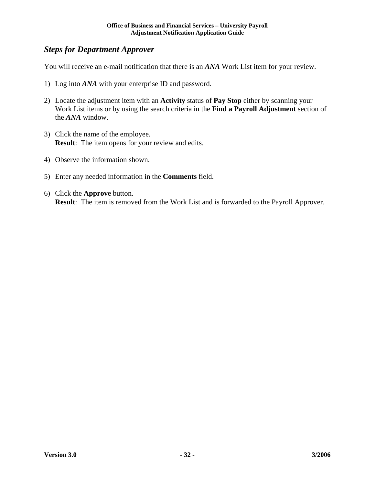#### *Steps for Department Approver*

You will receive an e-mail notification that there is an *ANA* Work List item for your review.

- 1) Log into *ANA* with your enterprise ID and password.
- 2) Locate the adjustment item with an **Activity** status of **Pay Stop** either by scanning your Work List items or by using the search criteria in the **Find a Payroll Adjustment** section of the *ANA* window.
- 3) Click the name of the employee. **Result**: The item opens for your review and edits.
- 4) Observe the information shown.
- 5) Enter any needed information in the **Comments** field.
- 6) Click the **Approve** button. **Result**: The item is removed from the Work List and is forwarded to the Payroll Approver.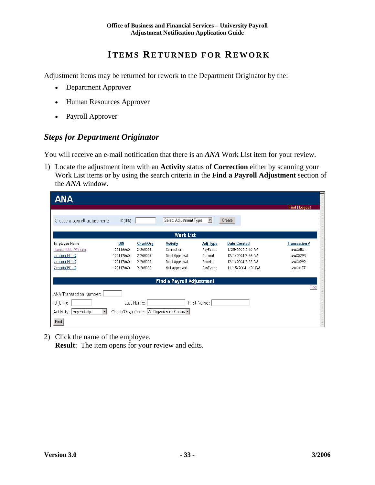## **ITEMS RETURNED FOR REWORK**

Adjustment items may be returned for rework to the Department Originator by the:

- Department Approver
- Human Resources Approver
- Payroll Approver

#### *Steps for Department Originator*

You will receive an e-mail notification that there is an *ANA* Work List item for your review.

1) Locate the adjustment item with an **Activity** status of **Correction** either by scanning your Work List items or by using the search criteria in the **Find a Payroll Adjustment** section of the *ANA* window.

| <b>ANA</b>                                                                                |            |           |                                  |          |                     |                      |
|-------------------------------------------------------------------------------------------|------------|-----------|----------------------------------|----------|---------------------|----------------------|
|                                                                                           |            |           |                                  |          |                     | <b>Find   Logout</b> |
| Create a payroll adjustment:                                                              | ID(UN):    |           | Select Adjustment Type           | ▾        | Create              |                      |
|                                                                                           |            |           | <b>Work List</b>                 |          |                     |                      |
| <b>Employee Name</b>                                                                      | <b>UIN</b> | Chart/Org | <b>Activity</b>                  | Adj Type | <b>Date Created</b> | <b>Transaction #</b> |
| Harrison060, William                                                                      | 120116060  | 2-208039  | Correction                       | PayEvent | 1/25/2005 5:40 PM   | ANA00534             |
| Zirconia060, Q                                                                            | 120117060  | 2-208039  | Dept Approval                    | Current  | 12/1/2004 2:36 PM   | ANA00293             |
| Zirconia060, Q                                                                            | 120117060  | 2-208039  | Dept Approval                    | Benefit  | 12/1/2004 2:33 PM   | ANA00292             |
| Zirconia060, Q                                                                            | 120117060  | 2-208039  | Not Approved                     | PayEvent | 11/15/2004 1:20 PM  | ANA00177             |
|                                                                                           |            |           | <b>Find a Payroll Adjustment</b> |          |                     |                      |
|                                                                                           |            |           |                                  |          |                     | Top                  |
| ANA Transaction Number:                                                                   |            |           |                                  |          |                     |                      |
| $ID$ (UIN):<br>First Name:<br>Last Name:                                                  |            |           |                                  |          |                     |                      |
| Chart/Orgn Code: All Organization Codes<br>Activity: Any Activity<br>$\blacktriangledown$ |            |           |                                  |          |                     |                      |
| Find                                                                                      |            |           |                                  |          |                     |                      |

2) Click the name of the employee. **Result:** The item opens for your review and edits.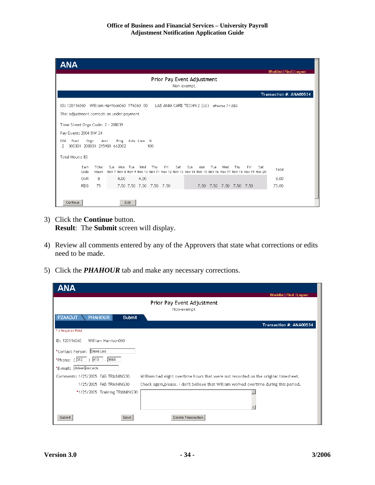| ANA                                                                                                                                                                                                                                                             |  |  |  |  |
|-----------------------------------------------------------------------------------------------------------------------------------------------------------------------------------------------------------------------------------------------------------------|--|--|--|--|
| <b>Worklist   Find   Logout</b><br>Prior Pay Event Adjustment<br>Non-exempt                                                                                                                                                                                     |  |  |  |  |
| Transaction #: ANA00534                                                                                                                                                                                                                                         |  |  |  |  |
| ID: 120116060<br>William Harrison060 P76060 00<br>LAB ANIM CARE TECHN 2 (LU) effective 7-1-2003<br>This adjustment corrects an under payment<br>Time Sheet Orgn Code: 2 - 208039<br>Pay Event: 2004 BW 24<br>Fund<br>Orgn<br>Prog<br>Acct<br>Acty Loon %<br>COA |  |  |  |  |
| 900309 208039 215980 662002<br>2<br>100                                                                                                                                                                                                                         |  |  |  |  |
| Total Hours: 83                                                                                                                                                                                                                                                 |  |  |  |  |
| Fri<br>Earn<br>Total<br>Tue<br>Thu<br>Sat<br>Sun.<br>Thu<br>Fri<br>Sat<br>Sun.<br>Mon<br>Wed<br>Mon.<br>Tue<br>Wed<br>Total<br>Code<br>Hours<br>Nov 7 Nov 8 Nov 9 Nov 10 Nov 11 Nov 12 Nov 13 Nov 14 Nov 15 Nov 16 Nov 17 Nov 18 Nov 19 Nov 20                  |  |  |  |  |
| 4.00<br><b>OVR</b><br>8<br>4.00<br>8.00                                                                                                                                                                                                                         |  |  |  |  |
| 7.50 7.50 7.50 7.50 7.50<br>7.50 7.50 7.50 7.50 7.50<br><b>REG</b><br>75<br>75.00                                                                                                                                                                               |  |  |  |  |
|                                                                                                                                                                                                                                                                 |  |  |  |  |
| Continue<br>Edit                                                                                                                                                                                                                                                |  |  |  |  |

- 3) Click the **Continue** button. **Result**: The **Submit** screen will display.
- 4) Review all comments entered by any of the Approvers that state what corrections or edits need to be made.
- 5) Click the *PHAHOUR* tab and make any necessary corrections.

| <b>ANA</b>                                 |                                                                                       |
|--------------------------------------------|---------------------------------------------------------------------------------------|
|                                            | <b>Worklist   Find   Logout</b>                                                       |
|                                            | Prior Pay Event Adjustment                                                            |
|                                            | Non-exempt                                                                            |
| <b>PZAADJT</b><br><b>PHAHOUR</b><br>Submit |                                                                                       |
|                                            | Transaction #: ANA00534                                                               |
| * = Required Field                         |                                                                                       |
| ID: 120116060<br>William Harrison060       |                                                                                       |
| *Contact Person: Dana Lee                  |                                                                                       |
| $- 9968$<br>*Phone: ( 312   )  413         |                                                                                       |
| *E-mail: dslee@uic.edu                     |                                                                                       |
| Comments: 1/25/2005 FAB TRAINING30         | William had eight overtime hours that were not recorded on the original timesheet.    |
| 1/25/2005 FAB TRAINING30                   | Check again, please. I don't believe that William worked overtime during this period. |
| *1/25/2005 Training TRAINING30             |                                                                                       |
| Submit<br>Save                             | Delete Transaction                                                                    |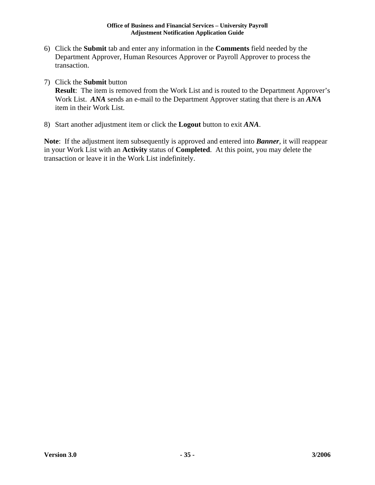- 6) Click the **Submit** tab and enter any information in the **Comments** field needed by the Department Approver, Human Resources Approver or Payroll Approver to process the transaction.
- 7) Click the **Submit** button

**Result**: The item is removed from the Work List and is routed to the Department Approver's Work List. *ANA* sends an e-mail to the Department Approver stating that there is an *ANA* item in their Work List.

8) Start another adjustment item or click the **Logout** button to exit *ANA*.

**Note**: If the adjustment item subsequently is approved and entered into *Banner*, it will reappear in your Work List with an **Activity** status of **Completed**. At this point, you may delete the transaction or leave it in the Work List indefinitely.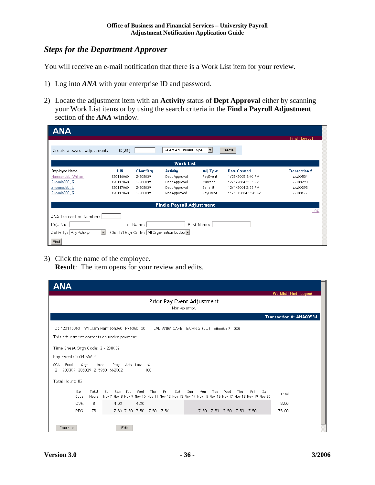#### *Steps for the Department Approver*

You will receive an e-mail notification that there is a Work List item for your review.

- 1) Log into *ANA* with your enterprise ID and password.
- 2) Locate the adjustment item with an **Activity** status of **Dept Approval** either by scanning your Work List items or by using the search criteria in the **Find a Payroll Adjustment** section of the *ANA* window.

| <b>ANA</b>                                     |                |           |                                         |                     |                     |                      |
|------------------------------------------------|----------------|-----------|-----------------------------------------|---------------------|---------------------|----------------------|
|                                                |                |           |                                         |                     |                     | <b>Find   Logout</b> |
| Create a payroll adjustment:                   | $ID$ $(UIN)$ : |           | Select Adjustment Type                  | $\vert \cdot \vert$ | Create              |                      |
|                                                |                |           | <b>Work List</b>                        |                     |                     |                      |
| <b>Employee Name</b>                           | <b>UIN</b>     | Chart/Org | <b>Activity</b>                         | <b>Adj Type</b>     | <b>Date Created</b> | <b>Transaction #</b> |
| Harrison060, William                           | 120116060      | 2-208039  | Dept Approval                           | PayEvent            | 1/25/2005 5:40 PM   | ANA00534             |
| Zirconia060, Q                                 | 120117060      | 2-208039  | Dept Approval                           | Current             | 12/1/2004 2:36 PM   | ANA00293             |
| Zirconia060, Q                                 | 120117060      | 2-208039  | Dept Approval                           | Benefit             | 12/1/2004 2:33 PM   | ANA00292             |
| Zirconia060, Q                                 | 120117060      | 2-208039  | Not Approved                            | PayEvent            | 11/15/2004 1:20 PM  | ANA00177             |
|                                                |                |           | <b>Find a Payroll Adjustment</b>        |                     |                     |                      |
|                                                |                |           |                                         |                     |                     | Top                  |
| ANA Transaction Number:                        |                |           |                                         |                     |                     |                      |
| ID(UIN):<br>Last Name:<br>First Name:          |                |           |                                         |                     |                     |                      |
| $\blacktriangledown$<br>Activity: Any Activity |                |           | Chart/Orgn Code: All Organization Codes |                     |                     |                      |
| Find                                           |                |           |                                         |                     |                     |                      |

3) Click the name of the employee.

**Result**: The item opens for your review and edits.

| ΔΝΑ                                                                                                                                                                                                                                                                                                     |  |  |  |  |
|---------------------------------------------------------------------------------------------------------------------------------------------------------------------------------------------------------------------------------------------------------------------------------------------------------|--|--|--|--|
| Worklist   Find   Logout<br>Prior Pay Event Adjustment<br>Non-exempt                                                                                                                                                                                                                                    |  |  |  |  |
| Transaction #: ANA00534                                                                                                                                                                                                                                                                                 |  |  |  |  |
| ID: 120116060 William Harrison060 P76060 00<br>LAB ANIM CARE TECHN 2 (LU) effective 7-1-2003<br>This adjustment corrects an under payment<br>Time Sheet Orgn Code: 2 - 208039<br>Pay Event: 2004 BW 24<br>COA<br>Orgn<br>Acct<br>Prog<br>Acty Locn %<br>Fund<br>900309 208039 215980 662002<br>2<br>100 |  |  |  |  |
| Total Hours: 83                                                                                                                                                                                                                                                                                         |  |  |  |  |
| Earn<br>Total<br>Fri<br>Tue<br>Wed<br>Thu<br>Sat<br>Sun<br>Wed<br>Thu<br>Sat<br>Sun<br>Mon.<br>Mon<br>Tue<br>Fri<br>Total<br>Code<br>Nov 7 Nov 8 Nov 9 Nov 10 Nov 11 Nov 12 Nov 13 Nov 14 Nov 15 Nov 16 Nov 17 Nov 18 Nov 19 Nov 20<br>Hours                                                            |  |  |  |  |
| 4.00<br>8<br>4.00<br><b>OVR</b><br>8.00                                                                                                                                                                                                                                                                 |  |  |  |  |
| 7.50 7.50 7.50 7.50 7.50<br><b>REG</b><br>75<br>7.50 7.50 7.50 7.50 7.50<br>75.00                                                                                                                                                                                                                       |  |  |  |  |
| Edit<br>Continue                                                                                                                                                                                                                                                                                        |  |  |  |  |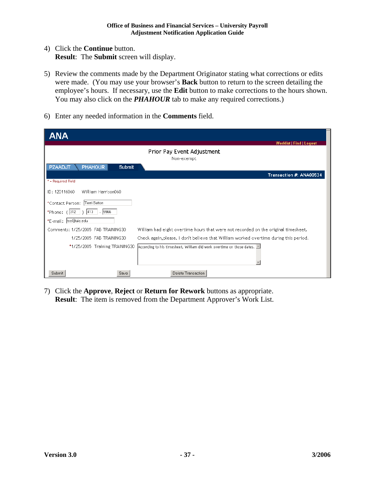- 4) Click the **Continue** button. **Result**: The **Submit** screen will display.
- 5) Review the comments made by the Department Originator stating what corrections or edits were made. (You may use your browser's **Back** button to return to the screen detailing the employee's hours. If necessary, use the **Edit** button to make corrections to the hours shown. You may also click on the **PHAHOUR** tab to make any required corrections.)
- 6) Enter any needed information in the **Comments** field.

| <b>ANA</b>                                                                                                               |
|--------------------------------------------------------------------------------------------------------------------------|
| <b>Worklist   Find   Logout</b><br>Prior Pay Event Adjustment<br>Non-exempt                                              |
| <b>PZAADJT</b><br><b>PHAHOUR</b><br>Submit                                                                               |
| Transaction #: ANA00534<br>* = Required Field                                                                            |
| ID: 120116060<br>William Harrison060                                                                                     |
| *Contact Person: Terri Sutton                                                                                            |
| *Phone: $(312   )$ 413 - 9966                                                                                            |
| *E-mail:  tss@uic.edu                                                                                                    |
| William had eight overtime hours that were not recorded on the original timesheet.<br>Comments: 1/25/2005 FAB TRAINING30 |
| Check again, please. I don't believe that William worked overtime during this period.<br>1/25/2005 FAB TRAINING30        |
| *1/25/2005 Training TRAINING30<br>According to his timesheet, William did work overtime on those dates. $\Box$           |
| Delete Transaction<br>Submit<br>Save                                                                                     |

7) Click the **Approve**, **Reject** or **Return for Rework** buttons as appropriate. **Result**: The item is removed from the Department Approver's Work List.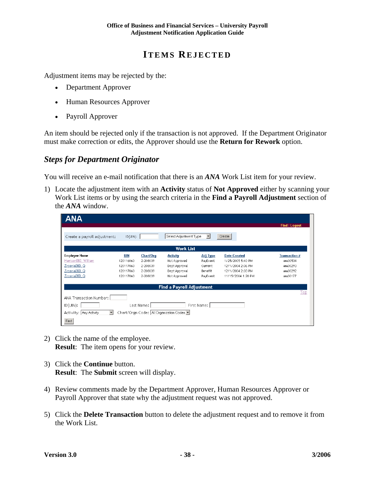## **ITEMS REJECTED**

Adjustment items may be rejected by the:

- Department Approver
- Human Resources Approver
- Payroll Approver

An item should be rejected only if the transaction is not approved. If the Department Originator must make correction or edits, the Approver should use the **Return for Rework** option.

#### *Steps for Department Originator*

You will receive an e-mail notification that there is an *ANA* Work List item for your review.

1) Locate the adjustment item with an **Activity** status of **Not Approved** either by scanning your Work List items or by using the search criteria in the **Find a Payroll Adjustment** section of the *ANA* window.

| ANA                                            |               |           |                                           |                     |                     |                      |
|------------------------------------------------|---------------|-----------|-------------------------------------------|---------------------|---------------------|----------------------|
|                                                |               |           |                                           |                     |                     | <b>Find   Logout</b> |
| Create a payroll adjustment:                   | $ID$ $(UN)$ : |           | Select Adjustment Type                    | $\vert \cdot \vert$ | Create              |                      |
|                                                |               |           | <b>Work List</b>                          |                     |                     |                      |
| <b>Employee Name</b>                           | UIN           | Chart/Org | <b>Activity</b>                           | <b>Adj Type</b>     | <b>Date Created</b> | <b>Transaction #</b> |
| Harrison060, William                           | 120116060     | 2-208039  | Not Approved                              | PayEvent            | 1/25/2005 5:40 PM   | ANA00534             |
| Zirconia060, Q                                 | 120117060     | 2-208039  | Dept Approval                             | Current             | 12/1/2004 2:36 PM   | ANA00293             |
| Zirconia060, Q                                 | 120117060     | 2-208039  | Dept Approval                             | Benefit             | 12/1/2004 2:33 PM   | ANA00292             |
| Zirconia060, Q                                 | 120117060     | 2-208039  | Not Approved                              | PayEvent            | 11/15/2004 1:20 PM  | ANA00177             |
|                                                |               |           | <b>Find a Payroll Adjustment</b>          |                     |                     |                      |
|                                                |               |           |                                           |                     |                     | Top                  |
| ANA Transaction Number:                        |               |           |                                           |                     |                     |                      |
| $ID$ (UIN):<br>First Name:<br>Last Name:       |               |           |                                           |                     |                     |                      |
| $\blacktriangledown$<br>Activity: Any Activity |               |           | Chart/Orgn Code:   All Organization Codes |                     |                     |                      |
| Find                                           |               |           |                                           |                     |                     |                      |

- 2) Click the name of the employee. **Result:** The item opens for your review.
- 3) Click the **Continue** button. **Result**: The **Submit** screen will display.
- 4) Review comments made by the Department Approver, Human Resources Approver or Payroll Approver that state why the adjustment request was not approved.
- 5) Click the **Delete Transaction** button to delete the adjustment request and to remove it from the Work List.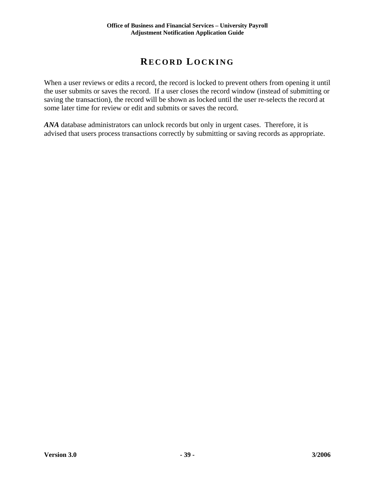## **RECORD LOCKING**

When a user reviews or edits a record, the record is locked to prevent others from opening it until the user submits or saves the record. If a user closes the record window (instead of submitting or saving the transaction), the record will be shown as locked until the user re-selects the record at some later time for review or edit and submits or saves the record.

*ANA* database administrators can unlock records but only in urgent cases. Therefore, it is advised that users process transactions correctly by submitting or saving records as appropriate.